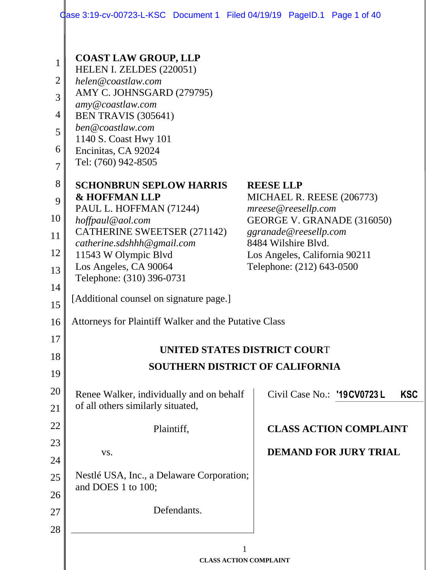Case 3:19-cv-00723-L-KSC Document 1 Filed 04/19/19 PageID.1 Page 1 of 40

| <b>COAST LAW GROUP, LLP</b><br>HELEN I. ZELDES (220051)  |                                                                                                                                                                                                                                                                                                                                                                                                |  |  |  |  |
|----------------------------------------------------------|------------------------------------------------------------------------------------------------------------------------------------------------------------------------------------------------------------------------------------------------------------------------------------------------------------------------------------------------------------------------------------------------|--|--|--|--|
| helen@coastlaw.com                                       |                                                                                                                                                                                                                                                                                                                                                                                                |  |  |  |  |
| AMY C. JOHNSGARD (279795)                                |                                                                                                                                                                                                                                                                                                                                                                                                |  |  |  |  |
|                                                          |                                                                                                                                                                                                                                                                                                                                                                                                |  |  |  |  |
| ben@coastlaw.com                                         |                                                                                                                                                                                                                                                                                                                                                                                                |  |  |  |  |
| 1140 S. Coast Hwy 101                                    |                                                                                                                                                                                                                                                                                                                                                                                                |  |  |  |  |
|                                                          |                                                                                                                                                                                                                                                                                                                                                                                                |  |  |  |  |
|                                                          |                                                                                                                                                                                                                                                                                                                                                                                                |  |  |  |  |
| <b>SCHONBRUN SEPLOW HARRIS</b>                           | <b>REESE LLP</b><br>MICHAEL R. REESE (206773)                                                                                                                                                                                                                                                                                                                                                  |  |  |  |  |
|                                                          | mreese@reesellp.com                                                                                                                                                                                                                                                                                                                                                                            |  |  |  |  |
| hoffpaul@aol.com                                         | GEORGE V. GRANADE (316050)                                                                                                                                                                                                                                                                                                                                                                     |  |  |  |  |
|                                                          | ggranade@reesellp.com<br>8484 Wilshire Blvd.                                                                                                                                                                                                                                                                                                                                                   |  |  |  |  |
| 11543 W Olympic Blvd                                     | Los Angeles, California 90211                                                                                                                                                                                                                                                                                                                                                                  |  |  |  |  |
| Los Angeles, CA 90064<br>Telephone: (212) 643-0500<br>13 |                                                                                                                                                                                                                                                                                                                                                                                                |  |  |  |  |
|                                                          |                                                                                                                                                                                                                                                                                                                                                                                                |  |  |  |  |
| [Additional counsel on signature page.]                  |                                                                                                                                                                                                                                                                                                                                                                                                |  |  |  |  |
| Attorneys for Plaintiff Walker and the Putative Class    |                                                                                                                                                                                                                                                                                                                                                                                                |  |  |  |  |
|                                                          |                                                                                                                                                                                                                                                                                                                                                                                                |  |  |  |  |
| UNITED STATES DISTRICT COURT                             |                                                                                                                                                                                                                                                                                                                                                                                                |  |  |  |  |
| <b>SOUTHERN DISTRICT OF CALIFORNIA</b>                   |                                                                                                                                                                                                                                                                                                                                                                                                |  |  |  |  |
|                                                          | Civil Case No.: '19CV0723L<br><b>KSC</b>                                                                                                                                                                                                                                                                                                                                                       |  |  |  |  |
| of all others similarly situated,                        |                                                                                                                                                                                                                                                                                                                                                                                                |  |  |  |  |
| Plaintiff,                                               | <b>CLASS ACTION COMPLAINT</b>                                                                                                                                                                                                                                                                                                                                                                  |  |  |  |  |
|                                                          |                                                                                                                                                                                                                                                                                                                                                                                                |  |  |  |  |
| VS.                                                      | <b>DEMAND FOR JURY TRIAL</b>                                                                                                                                                                                                                                                                                                                                                                   |  |  |  |  |
|                                                          |                                                                                                                                                                                                                                                                                                                                                                                                |  |  |  |  |
| and DOES 1 to 100;                                       |                                                                                                                                                                                                                                                                                                                                                                                                |  |  |  |  |
| Defendants.                                              |                                                                                                                                                                                                                                                                                                                                                                                                |  |  |  |  |
|                                                          |                                                                                                                                                                                                                                                                                                                                                                                                |  |  |  |  |
|                                                          |                                                                                                                                                                                                                                                                                                                                                                                                |  |  |  |  |
|                                                          |                                                                                                                                                                                                                                                                                                                                                                                                |  |  |  |  |
|                                                          | amy@coastlaw.com<br><b>BEN TRAVIS (305641)</b><br>Encinitas, CA 92024<br>Tel: (760) 942-8505<br><b>&amp; HOFFMAN LLP</b><br>PAUL L. HOFFMAN (71244)<br><b>CATHERINE SWEETSER (271142)</b><br>catherine.sdshhh@gmail.com<br>Telephone: (310) 396-0731<br>Renee Walker, individually and on behalf<br>Nestlé USA, Inc., a Delaware Corporation;<br>$\mathbf{1}$<br><b>CLASS ACTION COMPLAINT</b> |  |  |  |  |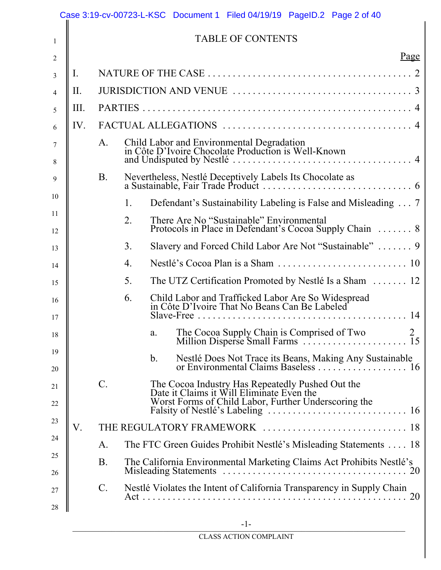|          | Case 3:19-cv-00723-L-KSC Document 1 Filed 04/19/19 PageID.2 Page 2 of 40 |                 |    |                                                                                                     |                |  |
|----------|--------------------------------------------------------------------------|-----------------|----|-----------------------------------------------------------------------------------------------------|----------------|--|
| 1        | <b>TABLE OF CONTENTS</b>                                                 |                 |    |                                                                                                     |                |  |
| 2        |                                                                          |                 |    |                                                                                                     | Page           |  |
| 3        | I.                                                                       |                 |    |                                                                                                     |                |  |
| 4        | Π.                                                                       |                 |    |                                                                                                     |                |  |
| 5        | III.                                                                     |                 |    |                                                                                                     |                |  |
| 6        | IV.                                                                      |                 |    |                                                                                                     |                |  |
| 7<br>8   |                                                                          | A.              |    | Child Labor and Environmental Degradation<br>in Côte D'Ivoire Chocolate Production is Well-Known    |                |  |
| 9        |                                                                          | <b>B.</b>       |    |                                                                                                     |                |  |
| 10       |                                                                          |                 | 1. | Defendant's Sustainability Labeling is False and Misleading 7                                       |                |  |
| 11<br>12 |                                                                          |                 | 2. | There Are No "Sustainable" Environmental<br>Protocols in Place in Defendant's Cocoa Supply Chain  8 |                |  |
| 13       |                                                                          |                 | 3. | Slavery and Forced Child Labor Are Not "Sustainable"  9                                             |                |  |
| 14       |                                                                          |                 | 4. |                                                                                                     |                |  |
| 15       |                                                                          |                 | 5. | The UTZ Certification Promoted by Nestlé Is a Sham  12                                              |                |  |
| 16<br>17 |                                                                          |                 | 6. | Child Labor and Trafficked Labor Are So Widespread<br>in Côte D'Ivoire That No Beans Can Be Labeled |                |  |
| 18       |                                                                          |                 |    | The Cocoa Supply Chain is Comprised of Two<br>a.                                                    | $\overline{2}$ |  |
| 19<br>20 |                                                                          |                 |    | $\mathbf b$ .<br>Nestlé Does Not Trace its Beans, Making Any Sustainable                            |                |  |
| 21       |                                                                          | $\mathcal{C}$ . |    | The Cocoa Industry Has Repeatedly Pushed Out the<br>Date it Claims it Will Eliminate Even the       |                |  |
| 22       |                                                                          |                 |    | Worst Forms of Child Labor, Further Underscoring the                                                |                |  |
| 23       | V.                                                                       |                 |    | THE REGULATORY FRAMEWORK  18                                                                        |                |  |
| 24       |                                                                          | A.              |    | The FTC Green Guides Prohibit Nestlé's Misleading Statements  18                                    |                |  |
| 25<br>26 |                                                                          | B.              |    | The California Environmental Marketing Claims Act Prohibits Nestlé's                                |                |  |
| 27       |                                                                          | $\mathcal{C}$ . |    | Nestlé Violates the Intent of California Transparency in Supply Chain                               |                |  |
| 28       |                                                                          |                 |    |                                                                                                     |                |  |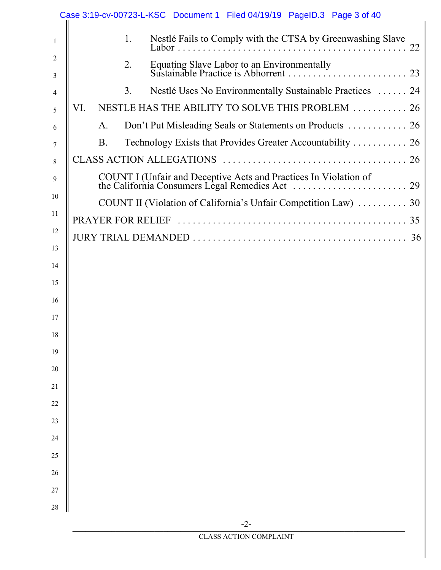|        | Case 3:19-cv-00723-L-KSC Document 1 Filed 04/19/19 PageID.3 Page 3 of 40 |
|--------|--------------------------------------------------------------------------|
| 1      | Nestlé Fails to Comply with the CTSA by Greenwashing Slave<br>1.         |
| 2<br>3 | 2.                                                                       |
| 4      | Nestlé Uses No Environmentally Sustainable Practices  24<br>3.           |
| 5      | NESTLE HAS THE ABILITY TO SOLVE THIS PROBLEM  26<br>VI.                  |
| 6      | A.                                                                       |
| 7      | Technology Exists that Provides Greater Accountability 26<br><b>B.</b>   |
| 8      |                                                                          |
| 9      |                                                                          |
| 10     | COUNT II (Violation of California's Unfair Competition Law)  30          |
| 11     |                                                                          |
| 12     |                                                                          |
| 13     |                                                                          |
| 14     |                                                                          |
| 15     |                                                                          |
| 16     |                                                                          |
| 17     |                                                                          |
| 18     |                                                                          |
| 19     |                                                                          |
| 20     |                                                                          |
| 21     |                                                                          |
| 22     |                                                                          |
| 23     |                                                                          |
| 24     |                                                                          |
| 25     |                                                                          |
| 26     |                                                                          |
| 27     |                                                                          |
| 28     |                                                                          |
|        | $-2-$                                                                    |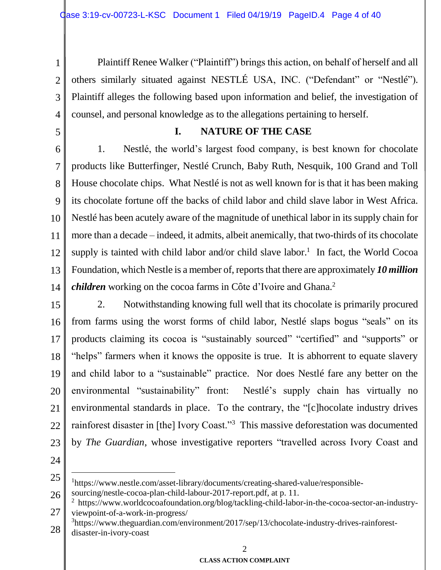1 2 3 4 Plaintiff Renee Walker ("Plaintiff") brings this action, on behalf of herself and all others similarly situated against NESTLÉ USA, INC. ("Defendant" or "Nestlé"). Plaintiff alleges the following based upon information and belief, the investigation of counsel, and personal knowledge as to the allegations pertaining to herself.

5

## **I. NATURE OF THE CASE**

6 7 8 9 10 11 12 13 14 1. Nestlé, the world's largest food company, is best known for chocolate products like Butterfinger, Nestlé Crunch, Baby Ruth, Nesquik, 100 Grand and Toll House chocolate chips. What Nestlé is not as well known for is that it has been making its chocolate fortune off the backs of child labor and child slave labor in West Africa. Nestlé has been acutely aware of the magnitude of unethical labor in its supply chain for more than a decade – indeed, it admits, albeit anemically, that two-thirds of its chocolate supply is tainted with child labor and/or child slave labor.<sup>1</sup> In fact, the World Cocoa Foundation, which Nestle is a member of, reports that there are approximately *10 million children* working on the cocoa farms in Côte d'Ivoire and Ghana.<sup>2</sup>

15 16 17 18 19 20 21 22 23 2. Notwithstanding knowing full well that its chocolate is primarily procured from farms using the worst forms of child labor, Nestlé slaps bogus "seals" on its products claiming its cocoa is "sustainably sourced" "certified" and "supports" or "helps" farmers when it knows the opposite is true. It is abhorrent to equate slavery and child labor to a "sustainable" practice. Nor does Nestlé fare any better on the environmental "sustainability" front: Nestlé's supply chain has virtually no environmental standards in place. To the contrary, the "[c]hocolate industry drives rainforest disaster in [the] Ivory Coast."<sup>3</sup> This massive deforestation was documented by *The Guardian*, whose investigative reporters "travelled across Ivory Coast and

24

 $\overline{a}$ 

<sup>25</sup> 1 https://www.nestle.com/asset-library/documents/creating-shared-value/responsible-

<sup>26</sup> sourcing/nestle-cocoa-plan-child-labour-2017-report.pdf, at p. 11.

<sup>27</sup> <sup>2</sup> https://www.worldcocoafoundation.org/blog/tackling-child-labor-in-the-cocoa-sector-an-industryviewpoint-of-a-work-in-progress/

<sup>28</sup> <sup>3</sup>https://www.theguardian.com/environment/2017/sep/13/chocolate-industry-drives-rainforestdisaster-in-ivory-coast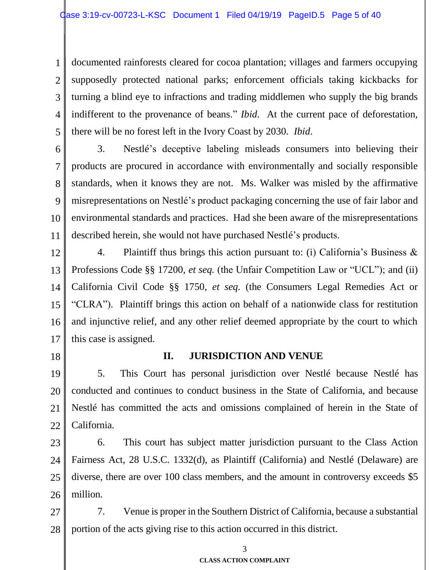1 2 3 4 5 documented rainforests cleared for cocoa plantation; villages and farmers occupying supposedly protected national parks; enforcement officials taking kickbacks for turning a blind eye to infractions and trading middlemen who supply the big brands indifferent to the provenance of beans." *Ibid*. At the current pace of deforestation, there will be no forest left in the Ivory Coast by 2030. *Ibid*.

6 7 8 9 10 11 3. Nestlé's deceptive labeling misleads consumers into believing their products are procured in accordance with environmentally and socially responsible standards, when it knows they are not. Ms. Walker was misled by the affirmative misrepresentations on Nestlé's product packaging concerning the use of fair labor and environmental standards and practices. Had she been aware of the misrepresentations described herein, she would not have purchased Nestlé's products.

12 13 14 15 16 17 4. Plaintiff thus brings this action pursuant to: (i) California's Business & Professions Code §§ 17200, *et seq.* (the Unfair Competition Law or "UCL"); and (ii) California Civil Code §§ 1750, *et seq.* (the Consumers Legal Remedies Act or "CLRA"). Plaintiff brings this action on behalf of a nationwide class for restitution and injunctive relief, and any other relief deemed appropriate by the court to which this case is assigned.

18

### **II. JURISDICTION AND VENUE**

19 20 21 22 5. This Court has personal jurisdiction over Nestlé because Nestlé has conducted and continues to conduct business in the State of California, and because Nestlé has committed the acts and omissions complained of herein in the State of California.

23 24 25 26 6. This court has subject matter jurisdiction pursuant to the Class Action Fairness Act, 28 U.S.C. 1332(d), as Plaintiff (California) and Nestlé (Delaware) are diverse, there are over 100 class members, and the amount in controversy exceeds \$5 million.

27 28 7. Venue is proper in the Southern District of California, because a substantial portion of the acts giving rise to this action occurred in this district.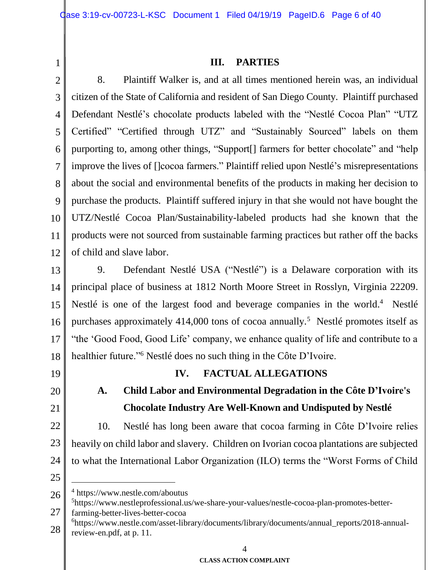1

## **III. PARTIES**

2 3 4 5 6 7 8 9 10 11 12 8. Plaintiff Walker is, and at all times mentioned herein was, an individual citizen of the State of California and resident of San Diego County. Plaintiff purchased Defendant Nestlé's chocolate products labeled with the "Nestlé Cocoa Plan" "UTZ Certified" "Certified through UTZ" and "Sustainably Sourced" labels on them purporting to, among other things, "Support[] farmers for better chocolate" and "help improve the lives of []cocoa farmers." Plaintiff relied upon Nestlé's misrepresentations about the social and environmental benefits of the products in making her decision to purchase the products. Plaintiff suffered injury in that she would not have bought the UTZ/Nestlé Cocoa Plan/Sustainability-labeled products had she known that the products were not sourced from sustainable farming practices but rather off the backs of child and slave labor.

13 14 15 16 17 18 9. Defendant Nestlé USA ("Nestlé") is a Delaware corporation with its principal place of business at 1812 North Moore Street in Rosslyn, Virginia 22209. Nestlé is one of the largest food and beverage companies in the world.<sup>4</sup> Nestlé purchases approximately 414,000 tons of cocoa annually.<sup>5</sup> Nestlé promotes itself as "the 'Good Food, Good Life' company, we enhance quality of life and contribute to a healthier future."<sup>6</sup> Nestlé does no such thing in the Côte D'Ivoire.

19

## **IV. FACTUAL ALLEGATIONS**

## 20

21

# **A. Child Labor and Environmental Degradation in the Côte D'Ivoire's Chocolate Industry Are Well-Known and Undisputed by Nestlé**

22 23 24 10. Nestlé has long been aware that cocoa farming in Côte D'Ivoire relies heavily on child labor and slavery. Children on Ivorian cocoa plantations are subjected to what the International Labor Organization (ILO) terms the "Worst Forms of Child

25

 $\overline{a}$ 

<sup>26</sup> 4 https://www.nestle.com/aboutus

<sup>27</sup> 5 https://www.nestleprofessional.us/we-share-your-values/nestle-cocoa-plan-promotes-betterfarming-better-lives-better-cocoa

<sup>28</sup> 6 https://www.nestle.com/asset-library/documents/library/documents/annual\_reports/2018-annualreview-en.pdf, at p. 11.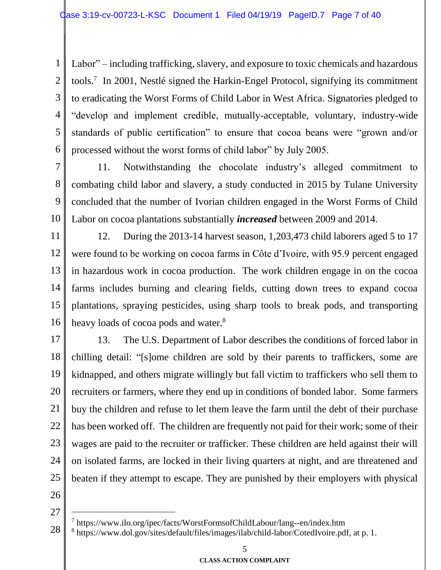1 2 3 4 5 6 Labor" – including trafficking, slavery, and exposure to toxic chemicals and hazardous tools.<sup>7</sup> In 2001, Nestlé signed the Harkin-Engel Protocol, signifying its commitment to eradicating the Worst Forms of Child Labor in West Africa. Signatories pledged to "develop and implement credible, mutually-acceptable, voluntary, industry-wide standards of public certification" to ensure that cocoa beans were "grown and/or processed without the worst forms of child labor" by July 2005.

7 8 9 10 11. Notwithstanding the chocolate industry's alleged commitment to combating child labor and slavery, a study conducted in 2015 by Tulane University concluded that the number of Ivorian children engaged in the Worst Forms of Child Labor on cocoa plantations substantially *increased* between 2009 and 2014.

11 12 13 14 15 16 12. During the 2013-14 harvest season, 1,203,473 child laborers aged 5 to 17 were found to be working on cocoa farms in Côte d'Ivoire, with 95.9 percent engaged in hazardous work in cocoa production. The work children engage in on the cocoa farms includes burning and clearing fields, cutting down trees to expand cocoa plantations, spraying pesticides, using sharp tools to break pods, and transporting heavy loads of cocoa pods and water.<sup>8</sup>

17 18 19 20 21 22 23 24 25 13. The U.S. Department of Labor describes the conditions of forced labor in chilling detail: "[s]ome children are sold by their parents to traffickers, some are kidnapped, and others migrate willingly but fall victim to traffickers who sell them to recruiters or farmers, where they end up in conditions of bonded labor. Some farmers buy the children and refuse to let them leave the farm until the debt of their purchase has been worked off. The children are frequently not paid for their work; some of their wages are paid to the recruiter or trafficker. These children are held against their will on isolated farms, are locked in their living quarters at night, and are threatened and beaten if they attempt to escape. They are punished by their employers with physical

26

27

 $\overline{a}$ 

<sup>28</sup> 7 https://www.ilo.org/ipec/facts/WorstFormsofChildLabour/lang--en/index.htm <sup>8</sup> https://www.dol.gov/sites/default/files/images/ilab/child-labor/CotedIvoire.pdf, at p. 1.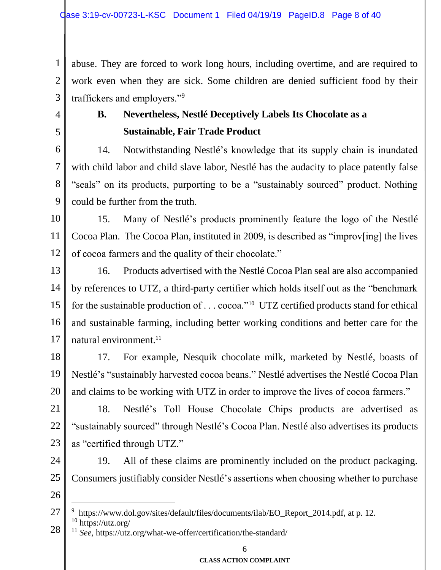1 2 3 abuse. They are forced to work long hours, including overtime, and are required to work even when they are sick. Some children are denied sufficient food by their traffickers and employers."<sup>9</sup>

4

5

# **B. Nevertheless, Nestlé Deceptively Labels Its Chocolate as a Sustainable, Fair Trade Product**

6 7 8 9 14. Notwithstanding Nestlé's knowledge that its supply chain is inundated with child labor and child slave labor, Nestlé has the audacity to place patently false "seals" on its products, purporting to be a "sustainably sourced" product. Nothing could be further from the truth.

10 11 12 15. Many of Nestlé's products prominently feature the logo of the Nestlé Cocoa Plan. The Cocoa Plan, instituted in 2009, is described as "improv[ing] the lives of cocoa farmers and the quality of their chocolate."

13 14 15 16 17 16. Products advertised with the Nestlé Cocoa Plan seal are also accompanied by references to UTZ, a third-party certifier which holds itself out as the "benchmark for the sustainable production of . . . cocoa."<sup>10</sup> UTZ certified products stand for ethical and sustainable farming, including better working conditions and better care for the natural environment.<sup>11</sup>

18 19 20 17. For example, Nesquik chocolate milk, marketed by Nestlé, boasts of Nestlé's "sustainably harvested cocoa beans." Nestlé advertises the Nestlé Cocoa Plan and claims to be working with UTZ in order to improve the lives of cocoa farmers."

21 22 23 18. Nestlé's Toll House Chocolate Chips products are advertised as "sustainably sourced" through Nestlé's Cocoa Plan. Nestlé also advertises its products as "certified through UTZ."

- 24 25 19. All of these claims are prominently included on the product packaging. Consumers justifiably consider Nestlé's assertions when choosing whether to purchase
- 26

 $\overline{a}$ 

<sup>27</sup> 9 https://www.dol.gov/sites/default/files/documents/ilab/EO\_Report\_2014.pdf, at p. 12.  $10$  https://utz.org/

<sup>28</sup> <sup>11</sup> *See*, https://utz.org/what-we-offer/certification/the-standard/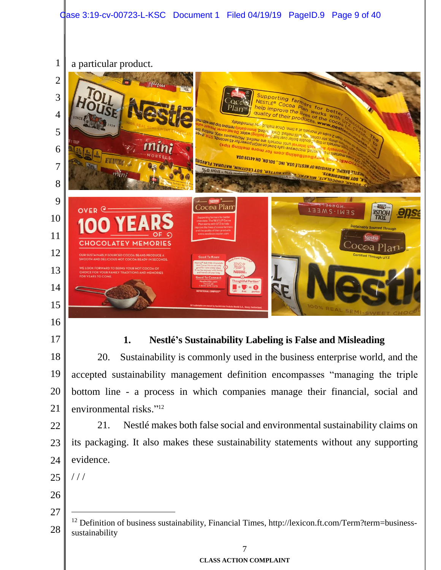## a particular product.



## **1. Nestlé's Sustainability Labeling is False and Misleading**

 20. Sustainability is commonly used in the business enterprise world, and the accepted sustainability management definition encompasses "managing the triple bottom line - a process in which companies manage their financial, social and environmental risks."<sup>12</sup>

 21. Nestlé makes both false social and environmental sustainability claims on its packaging. It also makes these sustainability statements without any supporting evidence.

  $///$ 

 $\overline{a}$ 

 <sup>12</sup> Definition of business sustainability, Financial Times, http://lexicon.ft.com/Term?term=businesssustainability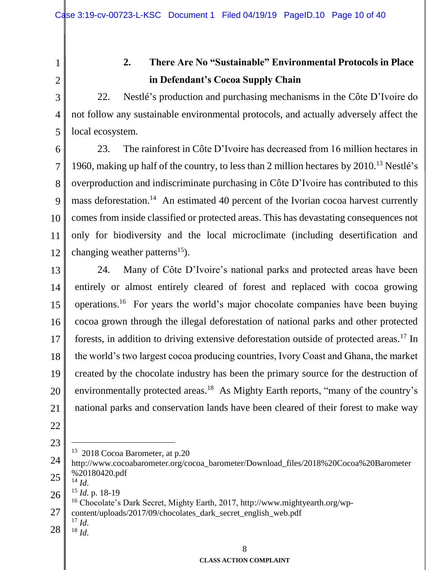1 2

# **2. There Are No "Sustainable" Environmental Protocols in Place in Defendant's Cocoa Supply Chain**

3 4 5 22. Nestlé's production and purchasing mechanisms in the Côte D'Ivoire do not follow any sustainable environmental protocols, and actually adversely affect the local ecosystem.

6 7 8 9 10 11 12 23. The rainforest in Côte D'Ivoire has decreased from 16 million hectares in 1960, making up half of the country, to less than 2 million hectares by  $2010<sup>13</sup>$  Nestlé's overproduction and indiscriminate purchasing in Côte D'Ivoire has contributed to this mass deforestation.<sup>14</sup> An estimated 40 percent of the Ivorian cocoa harvest currently comes from inside classified or protected areas. This has devastating consequences not only for biodiversity and the local microclimate (including desertification and changing weather patterns<sup>15</sup>).

13 14 15 16 17 18 19 20 21 24. Many of Côte D'Ivoire's national parks and protected areas have been entirely or almost entirely cleared of forest and replaced with cocoa growing operations.<sup>16</sup> For years the world's major chocolate companies have been buying cocoa grown through the illegal deforestation of national parks and other protected forests, in addition to driving extensive deforestation outside of protected areas.<sup>17</sup> In the world's two largest cocoa producing countries, Ivory Coast and Ghana, the market created by the chocolate industry has been the primary source for the destruction of environmentally protected areas.<sup>18</sup> As Mighty Earth reports, "many of the country's national parks and conservation lands have been cleared of their forest to make way

- 22
- 23

- 25 <sup>14</sup> *Id*.
- 26 <sup>15</sup> *Id*. p. 18-19

27 <sup>16</sup> Chocolate's Dark Secret, Mighty Earth, 2017, http://www.mightyearth.org/wpcontent/uploads/2017/09/chocolates\_dark\_secret\_english\_web.pdf

- $17$  *Id.*
- 28 <sup>18</sup> *Id*.

 $\overline{a}$ 13 2018 Cocoa Barometer, at p.20

<sup>24</sup> http://www.cocoabarometer.org/cocoa\_barometer/Download\_files/2018%20Cocoa%20Barometer %20180420.pdf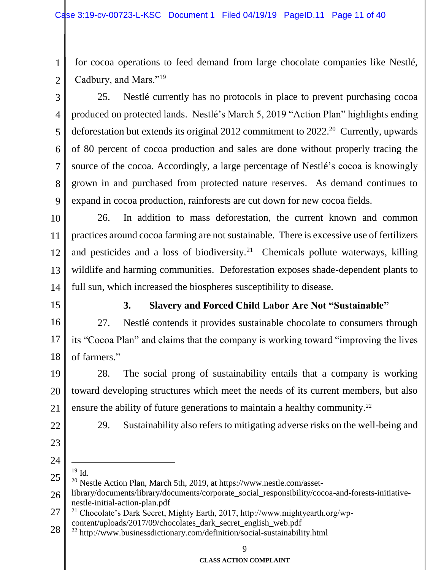1 for cocoa operations to feed demand from large chocolate companies like Nestlé, Cadbury, and Mars."<sup>19</sup>

2

3 4 5 6 7 8 9 25. Nestlé currently has no protocols in place to prevent purchasing cocoa produced on protected lands. Nestlé's March 5, 2019 "Action Plan" highlights ending deforestation but extends its original 2012 commitment to 2022.<sup>20</sup> Currently, upwards of 80 percent of cocoa production and sales are done without properly tracing the source of the cocoa. Accordingly, a large percentage of Nestlé's cocoa is knowingly grown in and purchased from protected nature reserves. As demand continues to expand in cocoa production, rainforests are cut down for new cocoa fields.

10 11 12 13 14 26. In addition to mass deforestation, the current known and common practices around cocoa farming are not sustainable. There is excessive use of fertilizers and pesticides and a loss of biodiversity.<sup>21</sup> Chemicals pollute waterways, killing wildlife and harming communities. Deforestation exposes shade-dependent plants to full sun, which increased the biospheres susceptibility to disease.

15

## **3. Slavery and Forced Child Labor Are Not "Sustainable"**

16 17 18 27. Nestlé contends it provides sustainable chocolate to consumers through its "Cocoa Plan" and claims that the company is working toward "improving the lives of farmers."

19 20 21 28. The social prong of sustainability entails that a company is working toward developing structures which meet the needs of its current members, but also ensure the ability of future generations to maintain a healthy community.<sup>22</sup>

22

29. Sustainability also refers to mitigating adverse risks on the well-being and

- 23
- 24
- 25

 $\overline{a}$  $19$  Id.

<sup>20</sup> Nestle Action Plan, March 5th, 2019, at https://www.nestle.com/asset-

<sup>26</sup> library/documents/library/documents/corporate\_social\_responsibility/cocoa-and-forests-initiativenestle-initial-action-plan.pdf

<sup>27</sup> <sup>21</sup> Chocolate's Dark Secret, Mighty Earth, 2017, http://www.mightyearth.org/wp-

content/uploads/2017/09/chocolates\_dark\_secret\_english\_web.pdf

<sup>28</sup> <sup>22</sup> http://www.businessdictionary.com/definition/social-sustainability.html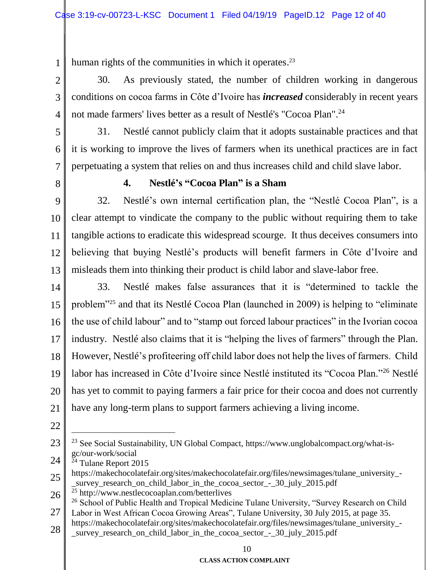1 human rights of the communities in which it operates.<sup>23</sup>

2 3 4 30. As previously stated, the number of children working in dangerous conditions on cocoa farms in Côte d'Ivoire has *increased* considerably in recent years not made farmers' lives better as a result of Nestlé's "Cocoa Plan". 24

5 6 7 31. Nestlé cannot publicly claim that it adopts sustainable practices and that it is working to improve the lives of farmers when its unethical practices are in fact perpetuating a system that relies on and thus increases child and child slave labor.

8

## **4. Nestlé's "Cocoa Plan" is a Sham**

9 10 11 12 13 32. Nestlé's own internal certification plan, the "Nestlé Cocoa Plan", is a clear attempt to vindicate the company to the public without requiring them to take tangible actions to eradicate this widespread scourge. It thus deceives consumers into believing that buying Nestlé's products will benefit farmers in Côte d'Ivoire and misleads them into thinking their product is child labor and slave-labor free.

14 15 16 17 18 19 20 21 33. Nestlé makes false assurances that it is "determined to tackle the problem"<sup>25</sup> and that its Nestlé Cocoa Plan (launched in 2009) is helping to "eliminate the use of child labour" and to "stamp out forced labour practices" in the Ivorian cocoa industry. Nestlé also claims that it is "helping the lives of farmers" through the Plan. However, Nestlé's profiteering off child labor does not help the lives of farmers. Child labor has increased in Côte d'Ivoire since Nestlé instituted its "Cocoa Plan."<sup>26</sup> Nestlé has yet to commit to paying farmers a fair price for their cocoa and does not currently have any long-term plans to support farmers achieving a living income.

22

 $\overline{a}$ 

Tulane Report 2015

<sup>23</sup> 24 <sup>23</sup> See Social Sustainability, UN Global Compact, https://www.unglobalcompact.org/what-isgc/our-work/social

<sup>25</sup> https://makechocolatefair.org/sites/makechocolatefair.org/files/newsimages/tulane\_university\_- \_survey\_research\_on\_child\_labor\_in\_the\_cocoa\_sector\_-\_30\_july\_2015.pdf

<sup>26</sup>  $25$  http://www.nestlecocoaplan.com/betterlives

<sup>27</sup> <sup>26</sup> School of Public Health and Tropical Medicine Tulane University, "Survey Research on Child Labor in West African Cocoa Growing Areas", Tulane University, 30 July 2015, at page 35.

<sup>28</sup> https://makechocolatefair.org/sites/makechocolatefair.org/files/newsimages/tulane\_university\_- \_survey\_research\_on\_child\_labor\_in\_the\_cocoa\_sector\_-\_30\_july\_2015.pdf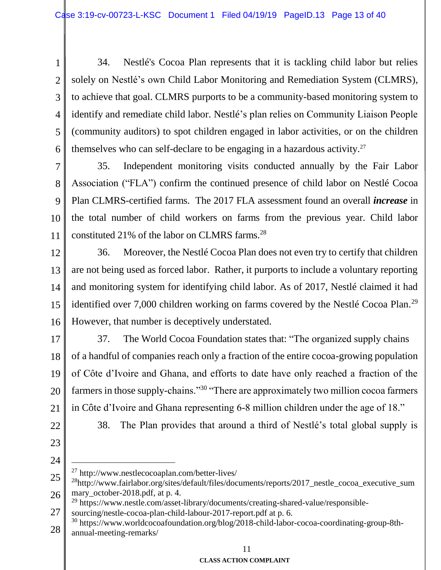1 2 3 4 5 6 34. Nestlé's Cocoa Plan represents that it is tackling child labor but relies solely on Nestlé's own Child Labor Monitoring and Remediation System (CLMRS), to achieve that goal. CLMRS purports to be a community-based monitoring system to identify and remediate child labor. Nestlé's plan relies on Community Liaison People (community auditors) to spot children engaged in labor activities, or on the children themselves who can self-declare to be engaging in a hazardous activity.<sup>27</sup>

7 8 9 10 11 35. Independent monitoring visits conducted annually by the Fair Labor Association ("FLA") confirm the continued presence of child labor on Nestlé Cocoa Plan CLMRS-certified farms. The 2017 FLA assessment found an overall *increase* in the total number of child workers on farms from the previous year. Child labor constituted 21% of the labor on CLMRS farms.<sup>28</sup>

12 13 14 15 16 36. Moreover, the Nestlé Cocoa Plan does not even try to certify that children are not being used as forced labor. Rather, it purports to include a voluntary reporting and monitoring system for identifying child labor. As of 2017, Nestlé claimed it had identified over 7,000 children working on farms covered by the Nestlé Cocoa Plan.<sup>29</sup> However, that number is deceptively understated.

17

18 19 20 21 37. The World Cocoa Foundation states that: "The organized supply chains of a handful of companies reach only a fraction of the entire cocoa-growing population of Côte d'Ivoire and Ghana, and efforts to date have only reached a fraction of the farmers in those supply-chains."<sup>30</sup> "There are approximately two million cocoa farmers in Côte d'Ivoire and Ghana representing 6-8 million children under the age of 18."

- 22
- 38. The Plan provides that around a third of Nestlé's total global supply is
- 23
- 24

 $\overline{a}$ 

<sup>27</sup> http://www.nestlecocoaplan.com/better-lives/

<sup>25</sup> 26 <sup>28</sup>http://www.fairlabor.org/sites/default/files/documents/reports/2017\_nestle\_cocoa\_executive\_sum mary\_october-2018.pdf, at p. 4.

<sup>&</sup>lt;sup>29</sup> https://www.nestle.com/asset-library/documents/creating-shared-value/responsible-

<sup>27</sup> sourcing/nestle-cocoa-plan-child-labour-2017-report.pdf at p. 6.

<sup>28</sup> <sup>30</sup> https://www.worldcocoafoundation.org/blog/2018-child-labor-cocoa-coordinating-group-8thannual-meeting-remarks/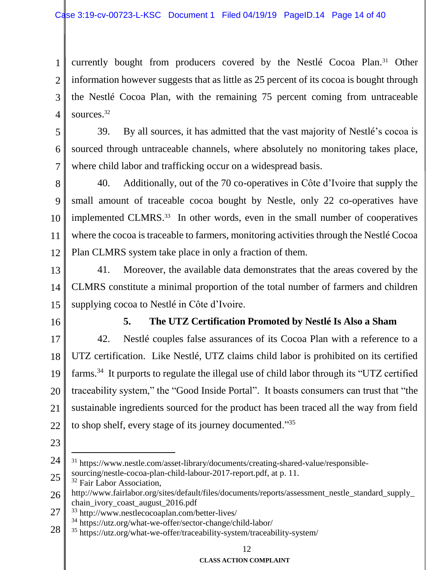1 2 3 4 currently bought from producers covered by the Nestlé Cocoa Plan.<sup>31</sup> Other information however suggests that as little as 25 percent of its cocoa is bought through the Nestlé Cocoa Plan, with the remaining 75 percent coming from untraceable sources.<sup>32</sup>

5 6 7 39. By all sources, it has admitted that the vast majority of Nestlé's cocoa is sourced through untraceable channels, where absolutely no monitoring takes place, where child labor and trafficking occur on a widespread basis.

8 9 10 11 12 40. Additionally, out of the 70 co-operatives in Côte d'Ivoire that supply the small amount of traceable cocoa bought by Nestle, only 22 co-operatives have implemented CLMRS.<sup>33</sup> In other words, even in the small number of cooperatives where the cocoa is traceable to farmers, monitoring activities through the Nestlé Cocoa Plan CLMRS system take place in only a fraction of them.

- 13 14 15 41. Moreover, the available data demonstrates that the areas covered by the CLMRS constitute a minimal proportion of the total number of farmers and children supplying cocoa to Nestlé in Côte d'Ivoire.
- 16

## **5. The UTZ Certification Promoted by Nestlé Is Also a Sham**

17 18 19 20 21 22 42. Nestlé couples false assurances of its Cocoa Plan with a reference to a UTZ certification. Like Nestlé, UTZ claims child labor is prohibited on its certified farms.<sup>34</sup> It purports to regulate the illegal use of child labor through its "UTZ certified traceability system," the "Good Inside Portal". It boasts consumers can trust that "the sustainable ingredients sourced for the product has been traced all the way from field to shop shelf, every stage of its journey documented."<sup>35</sup>

23

 $\overline{a}$ 

25 <sup>32</sup> Fair Labor Association,

<sup>34</sup> https://utz.org/what-we-offer/sector-change/child-labor/

<sup>24</sup> <sup>31</sup> https://www.nestle.com/asset-library/documents/creating-shared-value/responsiblesourcing/nestle-cocoa-plan-child-labour-2017-report.pdf, at p. 11.

<sup>26</sup> http://www.fairlabor.org/sites/default/files/documents/reports/assessment\_nestle\_standard\_supply\_ chain ivory coast august 2016.pdf

<sup>27</sup> <sup>33</sup> http://www.nestlecocoaplan.com/better-lives/

<sup>28</sup> <sup>35</sup> https://utz.org/what-we-offer/traceability-system/traceability-system/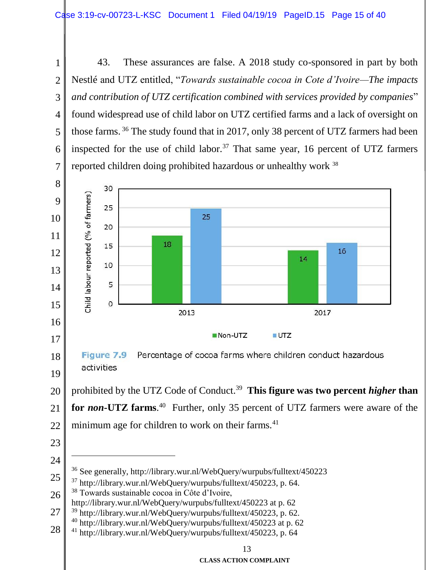43. These assurances are false. A 2018 study co-sponsored in part by both Nestlé and UTZ entitled, "*Towards sustainable cocoa in Cote d'Ivoire—The impacts and contribution of UTZ certification combined with services provided by companies*" found widespread use of child labor on UTZ certified farms and a lack of oversight on those farms. <sup>36</sup> The study found that in 2017, only 38 percent of UTZ farmers had been inspected for the use of child labor.<sup>37</sup> That same year, 16 percent of UTZ farmers reported children doing prohibited hazardous or unhealthy work <sup>38</sup>

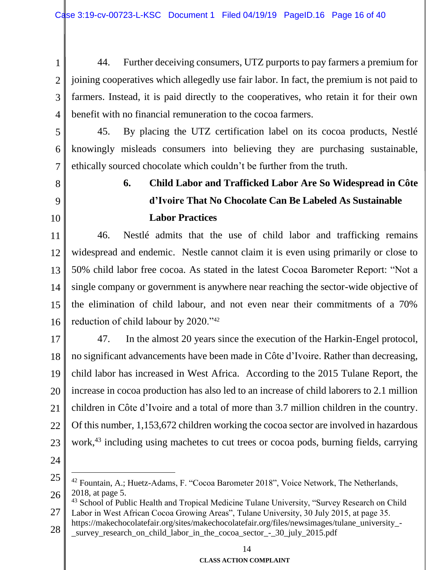- 1 2 3 4 44. Further deceiving consumers, UTZ purports to pay farmers a premium for joining cooperatives which allegedly use fair labor. In fact, the premium is not paid to farmers. Instead, it is paid directly to the cooperatives, who retain it for their own benefit with no financial remuneration to the cocoa farmers.
- 5

6 7 45. By placing the UTZ certification label on its cocoa products, Nestlé knowingly misleads consumers into believing they are purchasing sustainable, ethically sourced chocolate which couldn't be further from the truth.

- 8
- 9
- 10

# **6. Child Labor and Trafficked Labor Are So Widespread in Côte d'Ivoire That No Chocolate Can Be Labeled As Sustainable Labor Practices**

11 12 13 14 15 16 46. Nestlé admits that the use of child labor and trafficking remains widespread and endemic. Nestle cannot claim it is even using primarily or close to 50% child labor free cocoa. As stated in the latest Cocoa Barometer Report: "Not a single company or government is anywhere near reaching the sector-wide objective of the elimination of child labour, and not even near their commitments of a 70% reduction of child labour by 2020."<sup>42</sup>

17 18 19 20 21 22 23 47. In the almost 20 years since the execution of the Harkin-Engel protocol, no significant advancements have been made in Côte d'Ivoire. Rather than decreasing, child labor has increased in West Africa. According to the 2015 Tulane Report, the increase in cocoa production has also led to an increase of child laborers to 2.1 million children in Côte d'Ivoire and a total of more than 3.7 million children in the country. Of this number, 1,153,672 children working the cocoa sector are involved in hazardous work,<sup>43</sup> including using machetes to cut trees or cocoa pods, burning fields, carrying

24

 $\overline{a}$ 

<sup>25</sup> 26 <sup>42</sup> Fountain, A.; Huetz-Adams, F. "Cocoa Barometer 2018", Voice Network, The Netherlands, 2018, at page 5.

<sup>27</sup> <sup>43</sup> School of Public Health and Tropical Medicine Tulane University, "Survey Research on Child Labor in West African Cocoa Growing Areas", Tulane University, 30 July 2015, at page 35.

<sup>28</sup> https://makechocolatefair.org/sites/makechocolatefair.org/files/newsimages/tulane\_university\_- \_survey\_research\_on\_child\_labor\_in\_the\_cocoa\_sector\_-\_30\_july\_2015.pdf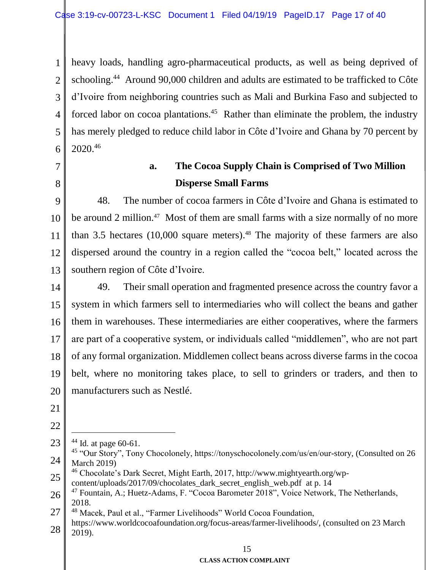1 2 3 4 5 6 heavy loads, handling agro-pharmaceutical products, as well as being deprived of schooling.<sup>44</sup> Around 90,000 children and adults are estimated to be trafficked to Côte d'Ivoire from neighboring countries such as Mali and Burkina Faso and subjected to forced labor on cocoa plantations.<sup>45</sup> Rather than eliminate the problem, the industry has merely pledged to reduce child labor in Côte d'Ivoire and Ghana by 70 percent by 2020. 46

7

8

## **a. The Cocoa Supply Chain is Comprised of Two Million Disperse Small Farms**

9 10 11 12 13 48. The number of cocoa farmers in Côte d'Ivoire and Ghana is estimated to be around 2 million.<sup>47</sup> Most of them are small farms with a size normally of no more than 3.5 hectares (10,000 square meters). <sup>48</sup> The majority of these farmers are also dispersed around the country in a region called the "cocoa belt," located across the southern region of Côte d'Ivoire.

14 15 16 17 18 19 20 49. Their small operation and fragmented presence across the country favor a system in which farmers sell to intermediaries who will collect the beans and gather them in warehouses. These intermediaries are either cooperatives, where the farmers are part of a cooperative system, or individuals called "middlemen", who are not part of any formal organization. Middlemen collect beans across diverse farms in the cocoa belt, where no monitoring takes place, to sell to grinders or traders, and then to manufacturers such as Nestlé.

- 21
- 22

 $\overline{a}$ 

<sup>23</sup>  $44$  Id. at page 60-61.

<sup>24</sup> <sup>45</sup> "Our Story", Tony Chocolonely, https://tonyschocolonely.com/us/en/our-story, (Consulted on 26 March 2019)

<sup>25</sup> <sup>46</sup> Chocolate's Dark Secret, Might Earth, 2017, http://www.mightyearth.org/wp-

content/uploads/2017/09/chocolates\_dark\_secret\_english\_web.pdf at p. 14

<sup>26</sup> <sup>47</sup> Fountain, A.; Huetz-Adams, F. "Cocoa Barometer 2018", Voice Network, The Netherlands, 2018.

<sup>27</sup> <sup>48</sup> Macek, Paul et al., "Farmer Livelihoods" World Cocoa Foundation,

<sup>28</sup> https://www.worldcocoafoundation.org/focus-areas/farmer-livelihoods/, (consulted on 23 March 2019).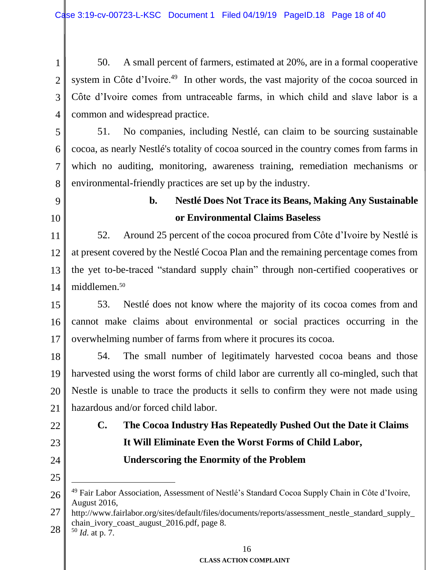1 2 3 4 50. A small percent of farmers, estimated at 20%, are in a formal cooperative system in Côte d'Ivoire.<sup>49</sup> In other words, the vast majority of the cocoa sourced in Côte d'Ivoire comes from untraceable farms, in which child and slave labor is a common and widespread practice.

5 6 7 8 51. No companies, including Nestlé, can claim to be sourcing sustainable cocoa, as nearly Nestlé's totality of cocoa sourced in the country comes from farms in which no auditing, monitoring, awareness training, remediation mechanisms or environmental-friendly practices are set up by the industry.

- 9
- 10

# **b. Nestlé Does Not Trace its Beans, Making Any Sustainable or Environmental Claims Baseless**

11 12 13 14 52. Around 25 percent of the cocoa procured from Côte d'Ivoire by Nestlé is at present covered by the Nestlé Cocoa Plan and the remaining percentage comes from the yet to-be-traced "standard supply chain" through non-certified cooperatives or middlemen.<sup>50</sup>

15 16 17 53. Nestlé does not know where the majority of its cocoa comes from and cannot make claims about environmental or social practices occurring in the overwhelming number of farms from where it procures its cocoa.

18 19 20 21 54. The small number of legitimately harvested cocoa beans and those harvested using the worst forms of child labor are currently all co-mingled, such that Nestle is unable to trace the products it sells to confirm they were not made using hazardous and/or forced child labor.

- 22
- 23 24

 $\overline{a}$ 

# **C. The Cocoa Industry Has Repeatedly Pushed Out the Date it Claims It Will Eliminate Even the Worst Forms of Child Labor, Underscoring the Enormity of the Problem**

25

<sup>26</sup> <sup>49</sup> Fair Labor Association, Assessment of Nestlé's Standard Cocoa Supply Chain in Côte d'Ivoire, August 2016,

<sup>27</sup> 28 http://www.fairlabor.org/sites/default/files/documents/reports/assessment\_nestle\_standard\_supply\_ chain\_ivory\_coast\_august\_2016.pdf, page 8.

<sup>50</sup> *Id*. at p. 7.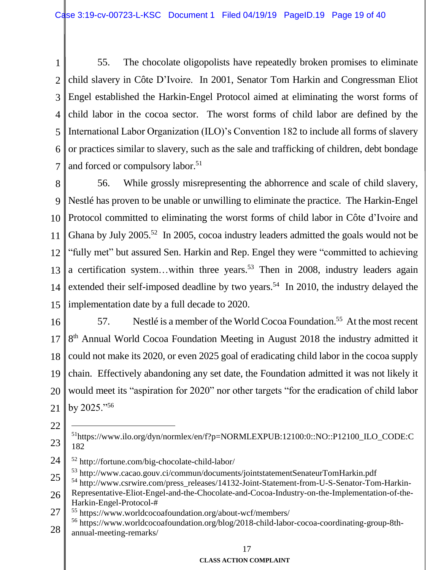1 2 3 4 5 6 7 55. The chocolate oligopolists have repeatedly broken promises to eliminate child slavery in Côte D'Ivoire. In 2001, Senator Tom Harkin and Congressman Eliot Engel established the Harkin-Engel Protocol aimed at eliminating the worst forms of child labor in the cocoa sector. The worst forms of child labor are defined by the International Labor Organization (ILO)'s Convention 182 to include all forms of slavery or practices similar to slavery, such as the sale and trafficking of children, debt bondage and forced or compulsory labor.<sup>51</sup>

8 9 10 11 12 13 14 15 56. While grossly misrepresenting the abhorrence and scale of child slavery, Nestlé has proven to be unable or unwilling to eliminate the practice. The Harkin-Engel Protocol committed to eliminating the worst forms of child labor in Côte d'Ivoire and Ghana by July 2005.<sup>52</sup> In 2005, cocoa industry leaders admitted the goals would not be "fully met" but assured Sen. Harkin and Rep. Engel they were "committed to achieving a certification system…within three years. <sup>53</sup> Then in 2008, industry leaders again extended their self-imposed deadline by two years.<sup>54</sup> In 2010, the industry delayed the implementation date by a full decade to 2020.

16 17 18 19 20 21 57. Nestlé is a member of the World Cocoa Foundation.<sup>55</sup> At the most recent 8<sup>th</sup> Annual World Cocoa Foundation Meeting in August 2018 the industry admitted it could not make its 2020, or even 2025 goal of eradicating child labor in the cocoa supply chain. Effectively abandoning any set date, the Foundation admitted it was not likely it would meet its "aspiration for 2020" nor other targets "for the eradication of child labor by 2025."<sup>56</sup>

22

 $\overline{a}$ 

<sup>23</sup> <sup>51</sup>https://www.ilo.org/dyn/normlex/en/f?p=NORMLEXPUB:12100:0::NO::P12100\_ILO\_CODE:C 182

<sup>24</sup> <sup>52</sup> http://fortune.com/big-chocolate-child-labor/

<sup>25</sup> <sup>53</sup> http://www.cacao.gouv.ci/commun/documents/jointstatementSenateurTomHarkin.pdf

<sup>54</sup> http://www.csrwire.com/press\_releases/14132-Joint-Statement-from-U-S-Senator-Tom-Harkin-

<sup>26</sup> Representative-Eliot-Engel-and-the-Chocolate-and-Cocoa-Industry-on-the-Implementation-of-the-Harkin-Engel-Protocol-#

<sup>27</sup> <sup>55</sup> https://www.worldcocoafoundation.org/about-wcf/members/

<sup>28</sup> <sup>56</sup> https://www.worldcocoafoundation.org/blog/2018-child-labor-cocoa-coordinating-group-8thannual-meeting-remarks/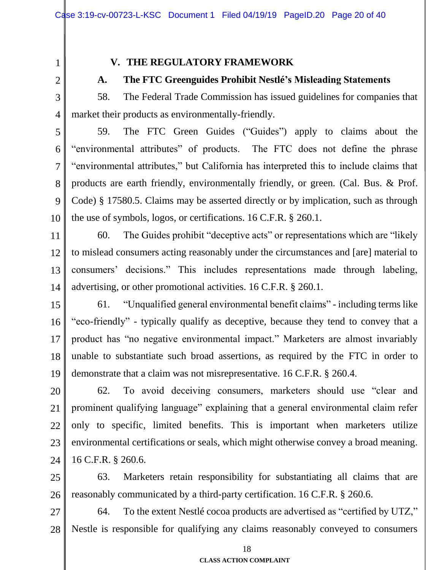1 2

## **V. THE REGULATORY FRAMEWORK**

### **A. The FTC Greenguides Prohibit Nestlé's Misleading Statements**

3 4 58. The Federal Trade Commission has issued guidelines for companies that market their products as environmentally-friendly.

5 6 7 8 9 10 59. The FTC Green Guides ("Guides") apply to claims about the "environmental attributes" of products. The FTC does not define the phrase "environmental attributes," but California has interpreted this to include claims that products are earth friendly, environmentally friendly, or green. (Cal. Bus. & Prof. Code) § 17580.5. Claims may be asserted directly or by implication, such as through the use of symbols, logos, or certifications. 16 C.F.R. § 260.1.

11 12 13 14 60. The Guides prohibit "deceptive acts" or representations which are "likely to mislead consumers acting reasonably under the circumstances and [are] material to consumers' decisions." This includes representations made through labeling, advertising, or other promotional activities. 16 C.F.R. § 260.1.

15 16 17 18 19 61. "Unqualified general environmental benefit claims" - including terms like "eco-friendly" - typically qualify as deceptive, because they tend to convey that a product has "no negative environmental impact." Marketers are almost invariably unable to substantiate such broad assertions, as required by the FTC in order to demonstrate that a claim was not misrepresentative. 16 C.F.R. § 260.4.

20 21 22 23 24 62. To avoid deceiving consumers, marketers should use "clear and prominent qualifying language" explaining that a general environmental claim refer only to specific, limited benefits. This is important when marketers utilize environmental certifications or seals, which might otherwise convey a broad meaning. 16 C.F.R. § 260.6.

25 26 63. Marketers retain responsibility for substantiating all claims that are reasonably communicated by a third-party certification. 16 C.F.R. § 260.6.

27 28 64. To the extent Nestlé cocoa products are advertised as "certified by UTZ," Nestle is responsible for qualifying any claims reasonably conveyed to consumers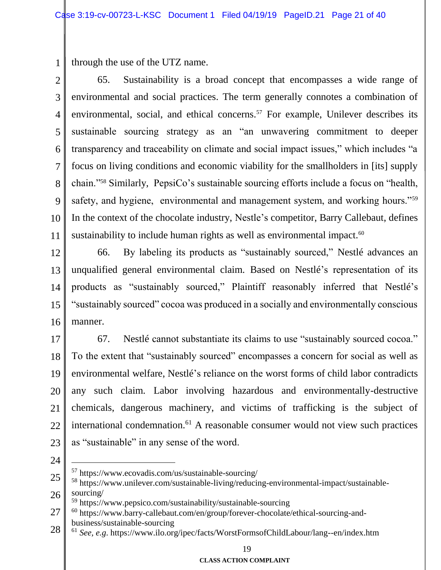1 through the use of the UTZ name.

2 3 4 5 6 7 8 9 10 11 65. Sustainability is a broad concept that encompasses a wide range of environmental and social practices. The term generally connotes a combination of environmental, social, and ethical concerns.<sup>57</sup> For example, Unilever describes its sustainable sourcing strategy as an "an unwavering commitment to deeper transparency and traceability on climate and social impact issues," which includes "a focus on living conditions and economic viability for the smallholders in [its] supply chain."<sup>58</sup> Similarly, PepsiCo's sustainable sourcing efforts include a focus on "health, safety, and hygiene, environmental and management system, and working hours."<sup>59</sup> In the context of the chocolate industry, Nestle's competitor, Barry Callebaut, defines sustainability to include human rights as well as environmental impact.<sup>60</sup>

12 13 14 15 16 66. By labeling its products as "sustainably sourced," Nestlé advances an unqualified general environmental claim. Based on Nestlé's representation of its products as "sustainably sourced," Plaintiff reasonably inferred that Nestlé's "sustainably sourced" cocoa was produced in a socially and environmentally conscious manner.

17 18 19 20 21 22 23 67. Nestlé cannot substantiate its claims to use "sustainably sourced cocoa." To the extent that "sustainably sourced" encompasses a concern for social as well as environmental welfare, Nestlé's reliance on the worst forms of child labor contradicts any such claim. Labor involving hazardous and environmentally-destructive chemicals, dangerous machinery, and victims of trafficking is the subject of international condemnation.<sup>61</sup> A reasonable consumer would not view such practices as "sustainable" in any sense of the word.

24

 $\overline{a}$ 

<sup>57</sup> https://www.ecovadis.com/us/sustainable-sourcing/

<sup>25</sup> 26 <sup>58</sup> https://www.unilever.com/sustainable-living/reducing-environmental-impact/sustainablesourcing/

<sup>59</sup> https://www.pepsico.com/sustainability/sustainable-sourcing

<sup>27</sup> <sup>60</sup> https://www.barry-callebaut.com/en/group/forever-chocolate/ethical-sourcing-andbusiness/sustainable-sourcing

<sup>28</sup> <sup>61</sup> *See, e.g*. https://www.ilo.org/ipec/facts/WorstFormsofChildLabour/lang--en/index.htm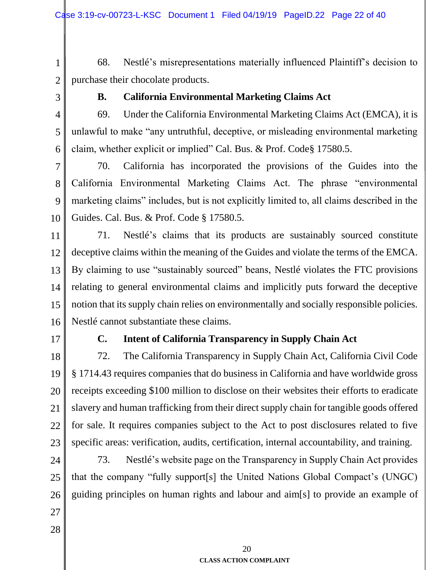1 2 68. Nestlé's misrepresentations materially influenced Plaintiff's decision to purchase their chocolate products.

3

## **B. California Environmental Marketing Claims Act**

4 5 6 69. Under the California Environmental Marketing Claims Act (EMCA), it is unlawful to make "any untruthful, deceptive, or misleading environmental marketing claim, whether explicit or implied" Cal. Bus. & Prof. Code§ 17580.5.

7 8 9 10 70. California has incorporated the provisions of the Guides into the California Environmental Marketing Claims Act. The phrase "environmental marketing claims" includes, but is not explicitly limited to, all claims described in the Guides. Cal. Bus. & Prof. Code § 17580.5.

11 12 13 14 15 16 71. Nestlé's claims that its products are sustainably sourced constitute deceptive claims within the meaning of the Guides and violate the terms of the EMCA. By claiming to use "sustainably sourced" beans, Nestlé violates the FTC provisions relating to general environmental claims and implicitly puts forward the deceptive notion that its supply chain relies on environmentally and socially responsible policies. Nestlé cannot substantiate these claims.

17

## **C. Intent of California Transparency in Supply Chain Act**

18 19 20 21 22 23 72. The California Transparency in Supply Chain Act, California Civil Code § 1714.43 requires companies that do business in California and have worldwide gross receipts exceeding \$100 million to disclose on their websites their efforts to eradicate slavery and human trafficking from their direct supply chain for tangible goods offered for sale. It requires companies subject to the Act to post disclosures related to five specific areas: verification, audits, certification, internal accountability, and training.

24 25 26 73. Nestlé's website page on the Transparency in Supply Chain Act provides that the company "fully support[s] the United Nations Global Compact's (UNGC) guiding principles on human rights and labour and aim[s] to provide an example of

27 28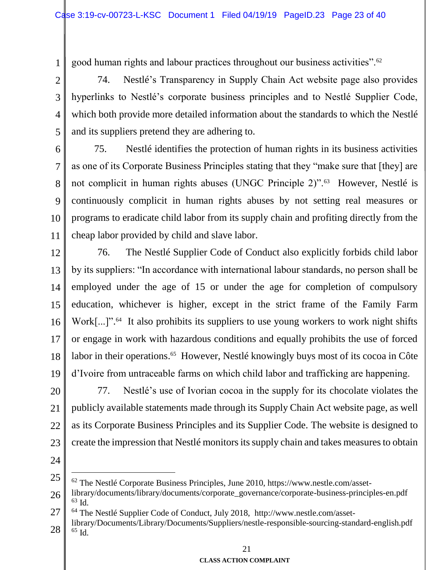1 good human rights and labour practices throughout our business activities".<sup>62</sup>

2 3 4 5 74. Nestlé's Transparency in Supply Chain Act website page also provides hyperlinks to Nestlé's corporate business principles and to Nestlé Supplier Code, which both provide more detailed information about the standards to which the Nestlé and its suppliers pretend they are adhering to.

6 7 8 9 10 11 75. Nestlé identifies the protection of human rights in its business activities as one of its Corporate Business Principles stating that they "make sure that [they] are not complicit in human rights abuses (UNGC Principle 2)".<sup>63</sup> However, Nestlé is continuously complicit in human rights abuses by not setting real measures or programs to eradicate child labor from its supply chain and profiting directly from the cheap labor provided by child and slave labor.

12 13 14 15 16 17 18 19 76. The Nestlé Supplier Code of Conduct also explicitly forbids child labor by its suppliers: "In accordance with international labour standards, no person shall be employed under the age of 15 or under the age for completion of compulsory education, whichever is higher, except in the strict frame of the Family Farm Work[...]"<sup>.64</sup> It also prohibits its suppliers to use young workers to work night shifts or engage in work with hazardous conditions and equally prohibits the use of forced labor in their operations.<sup>65</sup> However, Nestlé knowingly buys most of its cocoa in Côte d'Ivoire from untraceable farms on which child labor and trafficking are happening.

20 21 22 23 77. Nestlé's use of Ivorian cocoa in the supply for its chocolate violates the publicly available statements made through its Supply Chain Act website page, as well as its Corporate Business Principles and its Supplier Code. The website is designed to create the impression that Nestlé monitors its supply chain and takes measures to obtain

24

 $\overline{a}$ 

<sup>25</sup>  $62$  The Nestlé Corporate Business Principles, June 2010, https://www.nestle.com/asset-

<sup>26</sup> library/documents/library/documents/corporate\_governance/corporate-business-principles-en.pdf  $63$  Id.

<sup>27</sup> <sup>64</sup> The Nestlé Supplier Code of Conduct, July 2018, http://www.nestle.com/asset-

<sup>28</sup> library/Documents/Library/Documents/Suppliers/nestle-responsible-sourcing-standard-english.pdf <sup>65</sup> Id.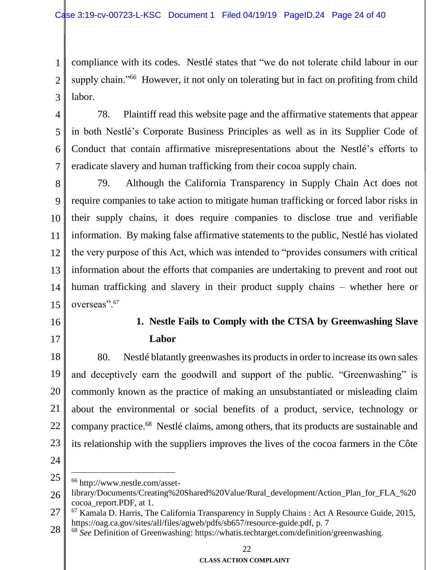1 2 3 compliance with its codes. Nestlé states that "we do not tolerate child labour in our supply chain."<sup>66</sup> However, it not only on tolerating but in fact on profiting from child labor.

4 5 6 7 78. Plaintiff read this website page and the affirmative statements that appear in both Nestlé's Corporate Business Principles as well as in its Supplier Code of Conduct that contain affirmative misrepresentations about the Nestlé's efforts to eradicate slavery and human trafficking from their cocoa supply chain.

8 9 10 11 12 13 14 15 79. Although the California Transparency in Supply Chain Act does not require companies to take action to mitigate human trafficking or forced labor risks in their supply chains, it does require companies to disclose true and verifiable information. By making false affirmative statements to the public, Nestlé has violated the very purpose of this Act, which was intended to "provides consumers with critical information about the efforts that companies are undertaking to prevent and root out human trafficking and slavery in their product supply chains – whether here or overseas".<sup>67</sup>

- 16
- 17

## **1. Nestle Fails to Comply with the CTSA by Greenwashing Slave Labor**

18 19 20 21 22 23 80. Nestlé blatantly greenwashes its products in order to increase its own sales and deceptively earn the goodwill and support of the public. "Greenwashing" is commonly known as the practice of making an unsubstantiated or misleading claim about the environmental or social benefits of a product, service, technology or company practice.<sup>68</sup> Nestlé claims, among others, that its products are sustainable and its relationship with the suppliers improves the lives of the cocoa farmers in the Côte

24

 $\overline{a}$ 

<sup>25</sup> <sup>66</sup> http://www.nestle.com/asset-

<sup>26</sup> library/Documents/Creating%20Shared%20Value/Rural\_development/Action\_Plan\_for\_FLA\_%20 cocoa\_report.PDF, at 1.

<sup>27</sup>  $^{67}$  Kamala D. Harris, The California Transparency in Supply Chains : Act A Resource Guide, 2015, https://oag.ca.gov/sites/all/files/agweb/pdfs/sb657/resource-guide.pdf, p. 7

<sup>28</sup> <sup>68</sup> See Definition of Greenwashing: https://whatis.techtarget.com/definition/greenwashing.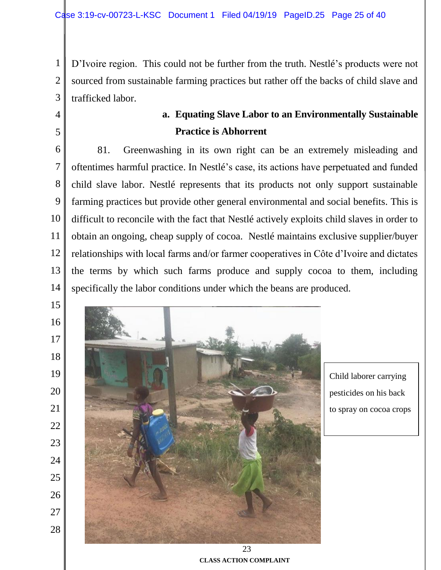D'Ivoire region. This could not be further from the truth. Nestlé's products were not sourced from sustainable farming practices but rather off the backs of child slave and trafficked labor.

 

## **a. Equating Slave Labor to an Environmentally Sustainable Practice is Abhorrent**

 81. Greenwashing in its own right can be an extremely misleading and oftentimes harmful practice. In Nestlé's case, its actions have perpetuated and funded child slave labor. Nestlé represents that its products not only support sustainable farming practices but provide other general environmental and social benefits. This is difficult to reconcile with the fact that Nestlé actively exploits child slaves in order to obtain an ongoing, cheap supply of cocoa. Nestlé maintains exclusive supplier/buyer relationships with local farms and/or farmer cooperatives in Côte d'Ivoire and dictates the terms by which such farms produce and supply cocoa to them, including specifically the labor conditions under which the beans are produced.

- 
- 
- 
- 

- 
- 
- 





Child laborer carrying pesticides on his back to spray on cocoa crops

**CLASS ACTION COMPLAINT**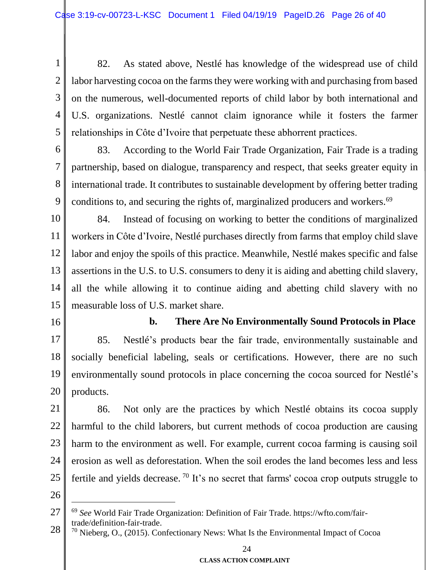1 2 3 4 5 82. As stated above, Nestlé has knowledge of the widespread use of child labor harvesting cocoa on the farms they were working with and purchasing from based on the numerous, well-documented reports of child labor by both international and U.S. organizations. Nestlé cannot claim ignorance while it fosters the farmer relationships in Côte d'Ivoire that perpetuate these abhorrent practices.

6

7 8 9 83. According to the World Fair Trade Organization, Fair Trade is a trading partnership, based on dialogue, transparency and respect, that seeks greater equity in international trade. It contributes to sustainable development by offering better trading conditions to, and securing the rights of, marginalized producers and workers.<sup>69</sup>

10 11 12 13 14 15 84. Instead of focusing on working to better the conditions of marginalized workers in Côte d'Ivoire, Nestlé purchases directly from farms that employ child slave labor and enjoy the spoils of this practice. Meanwhile, Nestlé makes specific and false assertions in the U.S. to U.S. consumers to deny it is aiding and abetting child slavery, all the while allowing it to continue aiding and abetting child slavery with no measurable loss of U.S. market share.

16

### **b. There Are No Environmentally Sound Protocols in Place**

17 18 19 20 85. Nestlé's products bear the fair trade, environmentally sustainable and socially beneficial labeling, seals or certifications. However, there are no such environmentally sound protocols in place concerning the cocoa sourced for Nestlé's products.

21 22 23 24 25 86. Not only are the practices by which Nestlé obtains its cocoa supply harmful to the child laborers, but current methods of cocoa production are causing harm to the environment as well. For example, current cocoa farming is causing soil erosion as well as deforestation. When the soil erodes the land becomes less and less fertile and yields decrease.  $\frac{70}{1}$  It's no secret that farms' cocoa crop outputs struggle to

26

 $\overline{a}$ 

<sup>27</sup> <sup>69</sup> *See* World Fair Trade Organization: Definition of Fair Trade. https://wfto.com/fairtrade/definition-fair-trade.

<sup>28</sup> <sup>70</sup> Nieberg, O., (2015). Confectionary News: What Is the Environmental Impact of Cocoa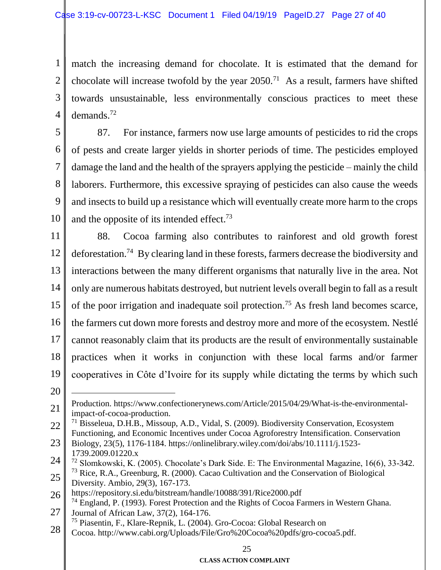1 2 3 4 match the increasing demand for chocolate. It is estimated that the demand for chocolate will increase twofold by the year  $2050$ .<sup>71</sup> As a result, farmers have shifted towards unsustainable, less environmentally conscious practices to meet these demands.<sup>72</sup>

5 6 7 8 9 10 87. For instance, farmers now use large amounts of pesticides to rid the crops of pests and create larger yields in shorter periods of time. The pesticides employed damage the land and the health of the sprayers applying the pesticide – mainly the child laborers. Furthermore, this excessive spraying of pesticides can also cause the weeds and insects to build up a resistance which will eventually create more harm to the crops and the opposite of its intended effect.<sup>73</sup>

11 12 13 14 15 16 17 18 19 88. Cocoa farming also contributes to rainforest and old growth forest deforestation.<sup>74</sup> By clearing land in these forests, farmers decrease the biodiversity and interactions between the many different organisms that naturally live in the area. Not only are numerous habitats destroyed, but nutrient levels overall begin to fall as a result of the poor irrigation and inadequate soil protection.<sup>75</sup> As fresh land becomes scarce, the farmers cut down more forests and destroy more and more of the ecosystem. Nestlé cannot reasonably claim that its products are the result of environmentally sustainable practices when it works in conjunction with these local farms and/or farmer cooperatives in Côte d'Ivoire for its supply while dictating the terms by which such

20

 $\overline{a}$ 

23 Biology, 23(5), 1176-1184. https://onlinelibrary.wiley.com/doi/abs/10.1111/j.1523- 1739.2009.01220.x

- 24 <sup>72</sup> Slomkowski, K. (2005). Chocolate's Dark Side. E: The Environmental Magazine, 16(6), 33-342.
- 25 <sup>73</sup> Rice, R.A., Greenburg, R. (2000). Cacao Cultivation and the Conservation of Biological Diversity. Ambio, 29(3), 167-173.

<sup>21</sup> Production. https://www.confectionerynews.com/Article/2015/04/29/What-is-the-environmentalimpact-of-cocoa-production.

<sup>22</sup> <sup>71</sup> Bisseleua, D.H.B., Missoup, A.D., Vidal, S. (2009). Biodiversity Conservation, Ecosystem Functioning, and Economic Incentives under Cocoa Agroforestry Intensification. Conservation

<sup>26</sup> https://repository.si.edu/bitstream/handle/10088/391/Rice2000.pdf  $74$  England, P. (1993). Forest Protection and the Rights of Cocoa Farmers in Western Ghana.

<sup>27</sup> Journal of African Law, 37(2), 164-176.

<sup>75</sup> Piasentin, F., Klare-Repnik, L. (2004). Gro-Cocoa: Global Research on

<sup>28</sup> Cocoa. http://www.cabi.org/Uploads/File/Gro%20Cocoa%20pdfs/gro-cocoa5.pdf.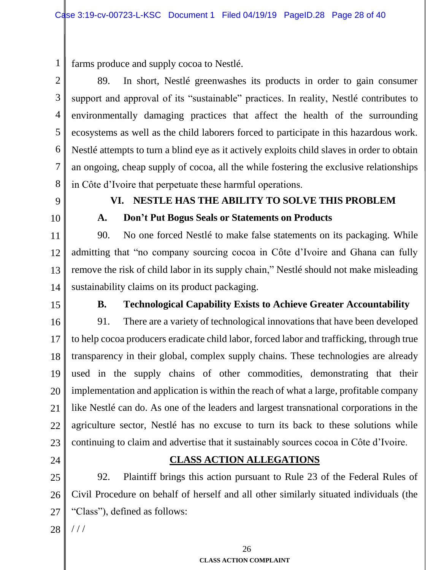1 farms produce and supply cocoa to Nestlé.

2 3 4 5 6 7 8 89. In short, Nestlé greenwashes its products in order to gain consumer support and approval of its "sustainable" practices. In reality, Nestlé contributes to environmentally damaging practices that affect the health of the surrounding ecosystems as well as the child laborers forced to participate in this hazardous work. Nestlé attempts to turn a blind eye as it actively exploits child slaves in order to obtain an ongoing, cheap supply of cocoa, all the while fostering the exclusive relationships in Côte d'Ivoire that perpetuate these harmful operations.

- 9
- 10

## **VI. NESTLE HAS THE ABILITY TO SOLVE THIS PROBLEM**

## **A. Don't Put Bogus Seals or Statements on Products**

11 12 13 14 90. No one forced Nestlé to make false statements on its packaging. While admitting that "no company sourcing cocoa in Côte d'Ivoire and Ghana can fully remove the risk of child labor in its supply chain," Nestlé should not make misleading sustainability claims on its product packaging.

15

## **B. Technological Capability Exists to Achieve Greater Accountability**

16 17 18 19 20 21 22 23 91. There are a variety of technological innovations that have been developed to help cocoa producers eradicate child labor, forced labor and trafficking, through true transparency in their global, complex supply chains. These technologies are already used in the supply chains of other commodities, demonstrating that their implementation and application is within the reach of what a large, profitable company like Nestlé can do. As one of the leaders and largest transnational corporations in the agriculture sector, Nestlé has no excuse to turn its back to these solutions while continuing to claim and advertise that it sustainably sources cocoa in Côte d'Ivoire.

24

## **CLASS ACTION ALLEGATIONS**

25 26 27 92. Plaintiff brings this action pursuant to Rule 23 of the Federal Rules of Civil Procedure on behalf of herself and all other similarly situated individuals (the "Class"), defined as follows:

28  $///$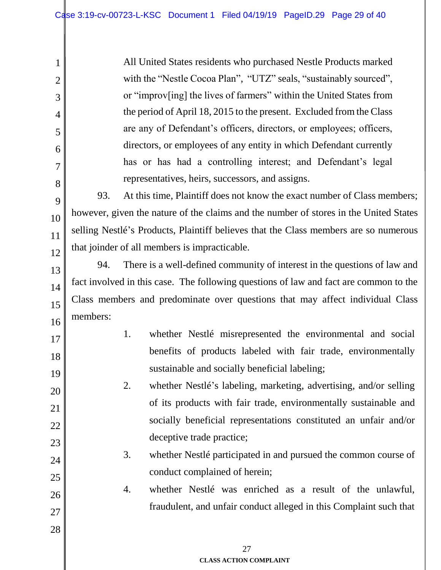All United States residents who purchased Nestle Products marked with the "Nestle Cocoa Plan", "UTZ" seals, "sustainably sourced", or "improv[ing] the lives of farmers" within the United States from the period of April 18, 2015 to the present. Excluded from the Class are any of Defendant's officers, directors, or employees; officers, directors, or employees of any entity in which Defendant currently has or has had a controlling interest; and Defendant's legal representatives, heirs, successors, and assigns.

9 10 11 12 93. At this time, Plaintiff does not know the exact number of Class members; however, given the nature of the claims and the number of stores in the United States selling Nestlé's Products, Plaintiff believes that the Class members are so numerous that joinder of all members is impracticable.

13 14 15 16 94. There is a well-defined community of interest in the questions of law and fact involved in this case. The following questions of law and fact are common to the Class members and predominate over questions that may affect individual Class members:

17 18

19

20

21

22

23

24

25

26

27

1

2

3

4

5

6

7

8

1. whether Nestlé misrepresented the environmental and social benefits of products labeled with fair trade, environmentally sustainable and socially beneficial labeling;

2. whether Nestlé's labeling, marketing, advertising, and/or selling of its products with fair trade, environmentally sustainable and socially beneficial representations constituted an unfair and/or deceptive trade practice;

- 3. whether Nestlé participated in and pursued the common course of conduct complained of herein;
- 4. whether Nestlé was enriched as a result of the unlawful, fraudulent, and unfair conduct alleged in this Complaint such that

28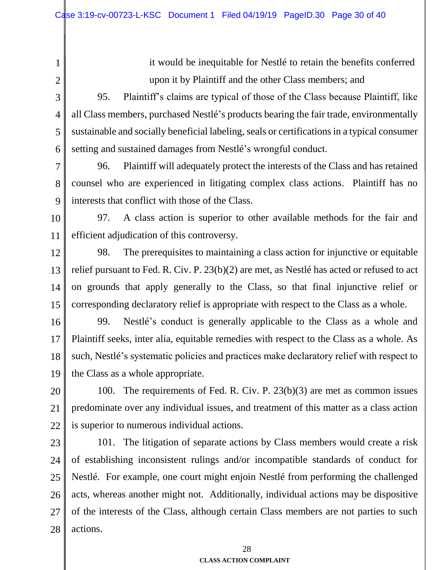1

2

it would be inequitable for Nestlé to retain the benefits conferred upon it by Plaintiff and the other Class members; and

3 4 5 6 95. Plaintiff's claims are typical of those of the Class because Plaintiff, like all Class members, purchased Nestlé's products bearing the fair trade, environmentally sustainable and socially beneficial labeling, seals or certificationsin a typical consumer setting and sustained damages from Nestlé's wrongful conduct.

7 8 9 96. Plaintiff will adequately protect the interests of the Class and has retained counsel who are experienced in litigating complex class actions. Plaintiff has no interests that conflict with those of the Class.

10 11 97. A class action is superior to other available methods for the fair and efficient adjudication of this controversy.

12 13 14 15 98. The prerequisites to maintaining a class action for injunctive or equitable relief pursuant to Fed. R. Civ. P. 23(b)(2) are met, as Nestlé has acted or refused to act on grounds that apply generally to the Class, so that final injunctive relief or corresponding declaratory relief is appropriate with respect to the Class as a whole.

16 17 18 19 99. Nestlé's conduct is generally applicable to the Class as a whole and Plaintiff seeks, inter alia, equitable remedies with respect to the Class as a whole. As such, Nestlé's systematic policies and practices make declaratory relief with respect to the Class as a whole appropriate.

20 21 22 100. The requirements of Fed. R. Civ. P. 23(b)(3) are met as common issues predominate over any individual issues, and treatment of this matter as a class action is superior to numerous individual actions.

23 24 25 26 27 28 101. The litigation of separate actions by Class members would create a risk of establishing inconsistent rulings and/or incompatible standards of conduct for Nestlé. For example, one court might enjoin Nestlé from performing the challenged acts, whereas another might not. Additionally, individual actions may be dispositive of the interests of the Class, although certain Class members are not parties to such actions.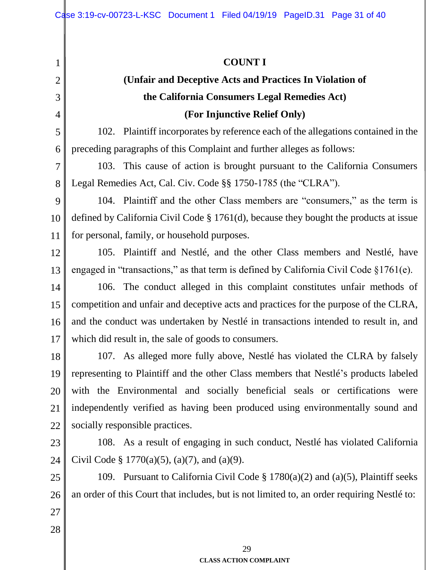1 2 3 4 5 6 7 8 9 10 11 12 13 14 15 16 17 18 19 20 21 22 23 24 25 26 27 28 **COUNT I (Unfair and Deceptive Acts and Practices In Violation of the California Consumers Legal Remedies Act) (For Injunctive Relief Only)** 102. Plaintiff incorporates by reference each of the allegations contained in the preceding paragraphs of this Complaint and further alleges as follows: 103. This cause of action is brought pursuant to the California Consumers Legal Remedies Act, Cal. Civ. Code §§ 1750-1785 (the "CLRA"). 104. Plaintiff and the other Class members are "consumers," as the term is defined by California Civil Code § 1761(d), because they bought the products at issue for personal, family, or household purposes. 105. Plaintiff and Nestlé, and the other Class members and Nestlé, have engaged in "transactions," as that term is defined by California Civil Code §1761(e). 106. The conduct alleged in this complaint constitutes unfair methods of competition and unfair and deceptive acts and practices for the purpose of the CLRA, and the conduct was undertaken by Nestlé in transactions intended to result in, and which did result in, the sale of goods to consumers. 107. As alleged more fully above, Nestlé has violated the CLRA by falsely representing to Plaintiff and the other Class members that Nestlé's products labeled with the Environmental and socially beneficial seals or certifications were independently verified as having been produced using environmentally sound and socially responsible practices. 108. As a result of engaging in such conduct, Nestlé has violated California Civil Code § 1770(a)(5), (a)(7), and (a)(9). 109. Pursuant to California Civil Code § 1780(a)(2) and (a)(5), Plaintiff seeks an order of this Court that includes, but is not limited to, an order requiring Nestlé to: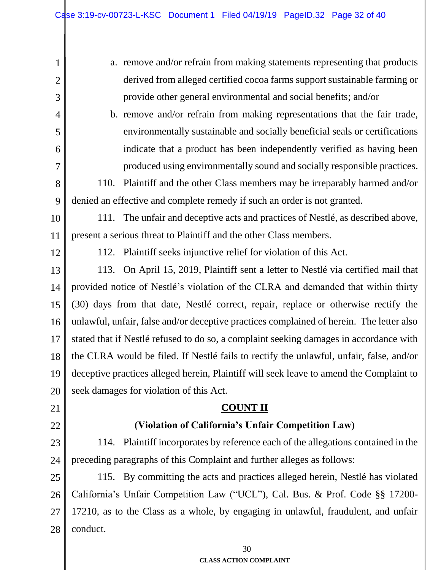| 1              | a. remove and/or refrain from making statements representing that products                 |  |  |  |  |
|----------------|--------------------------------------------------------------------------------------------|--|--|--|--|
| $\overline{2}$ | derived from alleged certified cocoa farms support sustainable farming or                  |  |  |  |  |
| 3              | provide other general environmental and social benefits; and/or                            |  |  |  |  |
| $\overline{4}$ | b. remove and/or refrain from making representations that the fair trade,                  |  |  |  |  |
| 5              | environmentally sustainable and socially beneficial seals or certifications                |  |  |  |  |
| 6              | indicate that a product has been independently verified as having been                     |  |  |  |  |
| $\overline{7}$ | produced using environmentally sound and socially responsible practices.                   |  |  |  |  |
| 8              | Plaintiff and the other Class members may be irreparably harmed and/or<br>110.             |  |  |  |  |
| 9              | denied an effective and complete remedy if such an order is not granted.                   |  |  |  |  |
| 10             | 111. The unfair and deceptive acts and practices of Nestlé, as described above,            |  |  |  |  |
| 11             | present a serious threat to Plaintiff and the other Class members.                         |  |  |  |  |
| 12             | 112. Plaintiff seeks injunctive relief for violation of this Act.                          |  |  |  |  |
| 13             | 113. On April 15, 2019, Plaintiff sent a letter to Nestlé via certified mail that          |  |  |  |  |
| 14             | provided notice of Nestlé's violation of the CLRA and demanded that within thirty          |  |  |  |  |
| 15             | (30) days from that date, Nestlé correct, repair, replace or otherwise rectify the         |  |  |  |  |
| 16             | unlawful, unfair, false and/or deceptive practices complained of herein. The letter also   |  |  |  |  |
| 17             | stated that if Nestlé refused to do so, a complaint seeking damages in accordance with     |  |  |  |  |
| 18             | the CLRA would be filed. If Nestlé fails to rectify the unlawful, unfair, false, and/or    |  |  |  |  |
|                | 19 deceptive practices alleged herein, Plaintiff will seek leave to amend the Complaint to |  |  |  |  |
| 20             | seek damages for violation of this Act.                                                    |  |  |  |  |
| 21             | <b>COUNT II</b>                                                                            |  |  |  |  |
| 22             | (Violation of California's Unfair Competition Law)                                         |  |  |  |  |
| 23             | 114. Plaintiff incorporates by reference each of the allegations contained in the          |  |  |  |  |
| 24             | preceding paragraphs of this Complaint and further alleges as follows:                     |  |  |  |  |
| 25             | 115. By committing the acts and practices alleged herein, Nestlé has violated              |  |  |  |  |
| 26             | California's Unfair Competition Law ("UCL"), Cal. Bus. & Prof. Code §§ 17200-              |  |  |  |  |
| 27             | 17210, as to the Class as a whole, by engaging in unlawful, fraudulent, and unfair         |  |  |  |  |
| 28             | conduct.                                                                                   |  |  |  |  |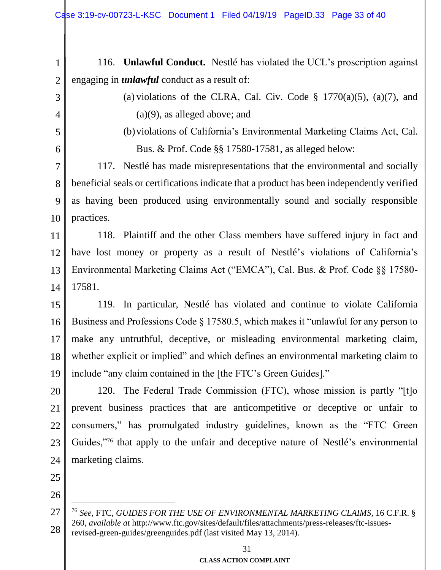1 2 116. **Unlawful Conduct.** Nestlé has violated the UCL's proscription against engaging in *unlawful* conduct as a result of:

> (a) violations of the CLRA, Cal. Civ. Code  $\S$  1770(a)(5), (a)(7), and (a)(9), as alleged above; and

(b)violations of California's Environmental Marketing Claims Act, Cal. Bus. & Prof. Code §§ 17580-17581, as alleged below:

7 8 9 10 117. Nestlé has made misrepresentations that the environmental and socially beneficial seals or certifications indicate that a product has been independently verified as having been produced using environmentally sound and socially responsible practices.

11 12 13 14 118. Plaintiff and the other Class members have suffered injury in fact and have lost money or property as a result of Nestlé's violations of California's Environmental Marketing Claims Act ("EMCA"), Cal. Bus. & Prof. Code §§ 17580- 17581.

15 16 17 18 19 119. In particular, Nestlé has violated and continue to violate California Business and Professions Code § 17580.5, which makes it "unlawful for any person to make any untruthful, deceptive, or misleading environmental marketing claim, whether explicit or implied" and which defines an environmental marketing claim to include "any claim contained in the [the FTC's Green Guides]."

20 21 22 23 24 120. The Federal Trade Commission (FTC), whose mission is partly "[t]o prevent business practices that are anticompetitive or deceptive or unfair to consumers," has promulgated industry guidelines, known as the "FTC Green Guides,"<sup>76</sup> that apply to the unfair and deceptive nature of Nestlé's environmental marketing claims.

25

3

4

5

6

26

 $\overline{a}$ 

<sup>27</sup> 28 <sup>76</sup> *See*, FTC, *GUIDES FOR THE USE OF ENVIRONMENTAL MARKETING CLAIMS*, 16 C.F.R. § 260, *available at* http://www.ftc.gov/sites/default/files/attachments/press-releases/ftc-issuesrevised-green-guides/greenguides.pdf (last visited May 13, 2014).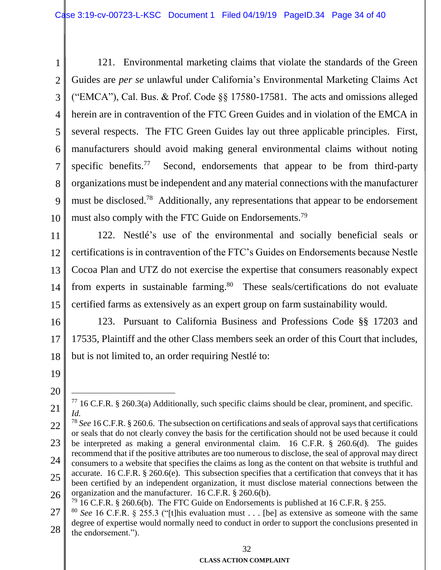1 2 3 4 5 6 7 8 9 10 121. Environmental marketing claims that violate the standards of the Green Guides are *per se* unlawful under California's Environmental Marketing Claims Act ("EMCA"), Cal. Bus. & Prof. Code §§ 17580-17581. The acts and omissions alleged herein are in contravention of the FTC Green Guides and in violation of the EMCA in several respects. The FTC Green Guides lay out three applicable principles. First, manufacturers should avoid making general environmental claims without noting specific benefits.<sup>77</sup> Second, endorsements that appear to be from third-party organizations must be independent and any material connections with the manufacturer must be disclosed.<sup>78</sup> Additionally, any representations that appear to be endorsement must also comply with the FTC Guide on Endorsements.<sup>79</sup>

11 12 13 14 15 122. Nestlé's use of the environmental and socially beneficial seals or certifications is in contravention of the FTC's Guides on Endorsements because Nestle Cocoa Plan and UTZ do not exercise the expertise that consumers reasonably expect from experts in sustainable farming. 80 These seals/certifications do not evaluate certified farms as extensively as an expert group on farm sustainability would.

16 17 18 123. Pursuant to California Business and Professions Code §§ 17203 and 17535, Plaintiff and the other Class members seek an order of this Court that includes, but is not limited to, an order requiring Nestlé to:

- 19
- 20

 $\overline{a}$ 

<sup>21</sup>  $77$  16 C.F.R. § 260.3(a) Additionally, such specific claims should be clear, prominent, and specific. *Id.*

<sup>22</sup> 23 24 25 <sup>78</sup> *See* 16 C.F.R. § 260.6. The subsection on certifications and seals of approval says that certifications or seals that do not clearly convey the basis for the certification should not be used because it could be interpreted as making a general environmental claim. 16 C.F.R. § 260.6(d). The guides recommend that if the positive attributes are too numerous to disclose, the seal of approval may direct consumers to a website that specifies the claims as long as the content on that website is truthful and accurate. 16 C.F.R.  $\S$  260.6(e). This subsection specifies that a certification that conveys that it has

<sup>26</sup> been certified by an independent organization, it must disclose material connections between the organization and the manufacturer. 16 C.F.R. § 260.6(b).

 $79$  16 C.F.R. § 260.6(b). The FTC Guide on Endorsements is published at 16 C.F.R. § 255.

<sup>27</sup> 28 <sup>80</sup> *See* 16 C.F.R. § 255.3 ("[t]his evaluation must . . . [be] as extensive as someone with the same degree of expertise would normally need to conduct in order to support the conclusions presented in the endorsement.").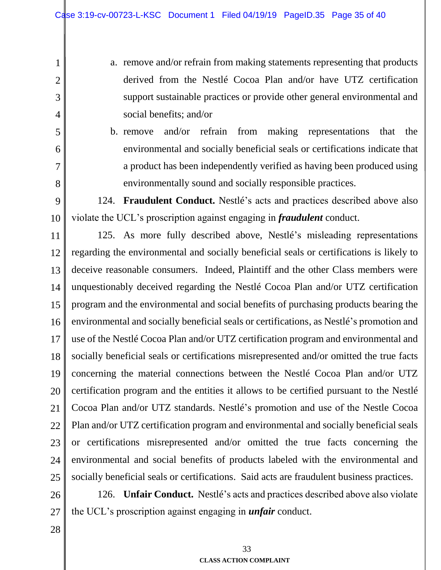- a. remove and/or refrain from making statements representing that products derived from the Nestlé Cocoa Plan and/or have UTZ certification support sustainable practices or provide other general environmental and social benefits; and/or
- b. remove and/or refrain from making representations that the environmental and socially beneficial seals or certifications indicate that a product has been independently verified as having been produced using environmentally sound and socially responsible practices.

9 10 124. **Fraudulent Conduct.** Nestlé's acts and practices described above also violate the UCL's proscription against engaging in *fraudulent* conduct.

11 12 13 14 15 16 17 18 19 20 21 22 23 24 25 125. As more fully described above, Nestlé's misleading representations regarding the environmental and socially beneficial seals or certifications is likely to deceive reasonable consumers. Indeed, Plaintiff and the other Class members were unquestionably deceived regarding the Nestlé Cocoa Plan and/or UTZ certification program and the environmental and social benefits of purchasing products bearing the environmental and socially beneficial seals or certifications, as Nestlé's promotion and use of the Nestlé Cocoa Plan and/or UTZ certification program and environmental and socially beneficial seals or certifications misrepresented and/or omitted the true facts concerning the material connections between the Nestlé Cocoa Plan and/or UTZ certification program and the entities it allows to be certified pursuant to the Nestlé Cocoa Plan and/or UTZ standards. Nestlé's promotion and use of the Nestle Cocoa Plan and/or UTZ certification program and environmental and socially beneficial seals or certifications misrepresented and/or omitted the true facts concerning the environmental and social benefits of products labeled with the environmental and socially beneficial seals or certifications. Said acts are fraudulent business practices.

- 26 27 126. **Unfair Conduct.** Nestlé's acts and practices described above also violate the UCL's proscription against engaging in *unfair* conduct.
- 28

1

2

3

4

5

6

7

8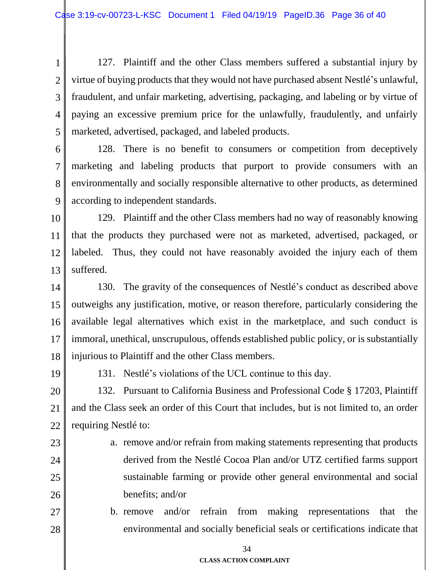1 2 3 4 5 127. Plaintiff and the other Class members suffered a substantial injury by virtue of buying products that they would not have purchased absent Nestlé's unlawful, fraudulent, and unfair marketing, advertising, packaging, and labeling or by virtue of paying an excessive premium price for the unlawfully, fraudulently, and unfairly marketed, advertised, packaged, and labeled products.

6 7 8 9 128. There is no benefit to consumers or competition from deceptively marketing and labeling products that purport to provide consumers with an environmentally and socially responsible alternative to other products, as determined according to independent standards.

10 11 12 13 129. Plaintiff and the other Class members had no way of reasonably knowing that the products they purchased were not as marketed, advertised, packaged, or labeled. Thus, they could not have reasonably avoided the injury each of them suffered.

14 15 16 17 18 130. The gravity of the consequences of Nestlé's conduct as described above outweighs any justification, motive, or reason therefore, particularly considering the available legal alternatives which exist in the marketplace, and such conduct is immoral, unethical, unscrupulous, offends established public policy, or is substantially injurious to Plaintiff and the other Class members.

19

131. Nestlé's violations of the UCL continue to this day.

20 21 22 132. Pursuant to California Business and Professional Code § 17203, Plaintiff and the Class seek an order of this Court that includes, but is not limited to, an order requiring Nestlé to:

23 24

25

26

a. remove and/or refrain from making statements representing that products derived from the Nestlé Cocoa Plan and/or UTZ certified farms support sustainable farming or provide other general environmental and social benefits; and/or

27 28 b. remove and/or refrain from making representations that the environmental and socially beneficial seals or certifications indicate that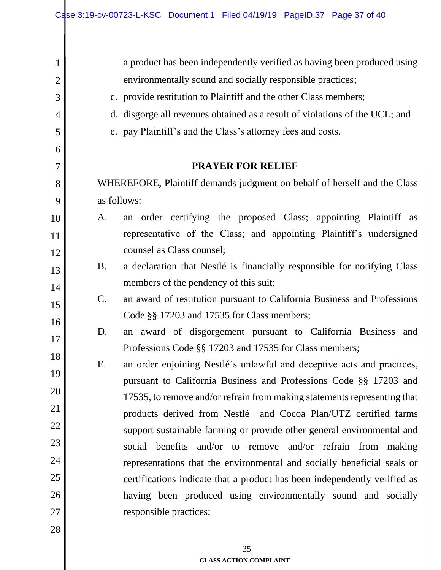| $\mathbf{1}$   | a product has been independently verified as having been produced using |                                                                                                                                               |  |  |  |  |
|----------------|-------------------------------------------------------------------------|-----------------------------------------------------------------------------------------------------------------------------------------------|--|--|--|--|
| $\overline{2}$ | environmentally sound and socially responsible practices;               |                                                                                                                                               |  |  |  |  |
| 3              |                                                                         | c. provide restitution to Plaintiff and the other Class members;                                                                              |  |  |  |  |
| $\overline{4}$ |                                                                         | d. disgorge all revenues obtained as a result of violations of the UCL; and                                                                   |  |  |  |  |
| 5              |                                                                         | e. pay Plaintiff's and the Class's attorney fees and costs.                                                                                   |  |  |  |  |
| 6              |                                                                         |                                                                                                                                               |  |  |  |  |
| $\overline{7}$ |                                                                         | <b>PRAYER FOR RELIEF</b>                                                                                                                      |  |  |  |  |
| 8              |                                                                         | WHEREFORE, Plaintiff demands judgment on behalf of herself and the Class                                                                      |  |  |  |  |
| 9              | as follows:                                                             |                                                                                                                                               |  |  |  |  |
| 10             | A.                                                                      | an order certifying the proposed Class; appointing Plaintiff as                                                                               |  |  |  |  |
| 11             |                                                                         | representative of the Class; and appointing Plaintiff's undersigned                                                                           |  |  |  |  |
| 12             |                                                                         | counsel as Class counsel;                                                                                                                     |  |  |  |  |
| 13             | <b>B.</b>                                                               | a declaration that Nestlé is financially responsible for notifying Class                                                                      |  |  |  |  |
| 14             |                                                                         | members of the pendency of this suit;                                                                                                         |  |  |  |  |
| 15             | $\mathcal{C}$ .                                                         | an award of restitution pursuant to California Business and Professions                                                                       |  |  |  |  |
| 16             |                                                                         | Code §§ 17203 and 17535 for Class members;                                                                                                    |  |  |  |  |
| 17             | D.<br>an                                                                | award of disgorgement pursuant to California Business and                                                                                     |  |  |  |  |
| 18             |                                                                         | Professions Code §§ 17203 and 17535 for Class members;                                                                                        |  |  |  |  |
| 19             | Ε.                                                                      | an order enjoining Nestlé's unlawful and deceptive acts and practices,                                                                        |  |  |  |  |
| 20             |                                                                         | pursuant to California Business and Professions Code §§ 17203 and<br>17535, to remove and/or refrain from making statements representing that |  |  |  |  |
| 21             |                                                                         | products derived from Nestlé and Cocoa Plan/UTZ certified farms                                                                               |  |  |  |  |
| 22             |                                                                         | support sustainable farming or provide other general environmental and                                                                        |  |  |  |  |
| 23             |                                                                         | social benefits and/or to remove and/or refrain from making                                                                                   |  |  |  |  |
| 24             |                                                                         | representations that the environmental and socially beneficial seals or                                                                       |  |  |  |  |
| 25             |                                                                         | certifications indicate that a product has been independently verified as                                                                     |  |  |  |  |
| 26             |                                                                         | having been produced using environmentally sound and socially                                                                                 |  |  |  |  |
| 27             |                                                                         | responsible practices;                                                                                                                        |  |  |  |  |
| 28             |                                                                         |                                                                                                                                               |  |  |  |  |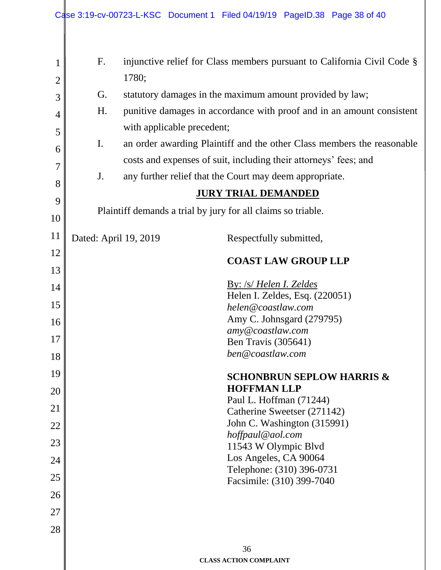| 1              | F.                    | injunctive relief for Class members pursuant to California Civil Code § |                                                                        |  |  |  |  |
|----------------|-----------------------|-------------------------------------------------------------------------|------------------------------------------------------------------------|--|--|--|--|
| $\overline{2}$ |                       | 1780;                                                                   |                                                                        |  |  |  |  |
| 3              | G.                    | statutory damages in the maximum amount provided by law;                |                                                                        |  |  |  |  |
| $\overline{4}$ | H.                    | punitive damages in accordance with proof and in an amount consistent   |                                                                        |  |  |  |  |
| 5              |                       | with applicable precedent;                                              |                                                                        |  |  |  |  |
| 6              | I.                    |                                                                         | an order awarding Plaintiff and the other Class members the reasonable |  |  |  |  |
| 7              |                       | costs and expenses of suit, including their attorneys' fees; and        |                                                                        |  |  |  |  |
| 8              | J.                    |                                                                         | any further relief that the Court may deem appropriate.                |  |  |  |  |
| 9              |                       |                                                                         | <b>JURY TRIAL DEMANDED</b>                                             |  |  |  |  |
| 10             |                       | Plaintiff demands a trial by jury for all claims so triable.            |                                                                        |  |  |  |  |
| <sup>11</sup>  | Dated: April 19, 2019 |                                                                         | Respectfully submitted,                                                |  |  |  |  |
| 12             |                       |                                                                         | <b>COAST LAW GROUP LLP</b>                                             |  |  |  |  |
| 13             |                       |                                                                         |                                                                        |  |  |  |  |
| 14             |                       |                                                                         | <u>By: /s/ Helen I. Zeldes</u><br>Helen I. Zeldes, Esq. (220051)       |  |  |  |  |
| 15             |                       |                                                                         | helen@coastlaw.com                                                     |  |  |  |  |
| 16             |                       |                                                                         | Amy C. Johnsgard (279795)                                              |  |  |  |  |
| 17             |                       |                                                                         | amy@coastlaw.com<br><b>Ben Travis</b> (305641)                         |  |  |  |  |
| 18             |                       |                                                                         | ben@coastlaw.com                                                       |  |  |  |  |
| 19             |                       |                                                                         | <b>SCHONBRUN SEPLOW HARRIS &amp;</b>                                   |  |  |  |  |
| 20             |                       |                                                                         | <b>HOFFMAN LLP</b>                                                     |  |  |  |  |
| 21             |                       |                                                                         | Paul L. Hoffman (71244)                                                |  |  |  |  |
|                |                       |                                                                         | Catherine Sweetser (271142)<br>John C. Washington (315991)             |  |  |  |  |
| 22             |                       |                                                                         | hoffpaul@aol.com                                                       |  |  |  |  |
| 23             |                       |                                                                         | 11543 W Olympic Blvd<br>Los Angeles, CA 90064                          |  |  |  |  |
| 24             |                       |                                                                         | Telephone: (310) 396-0731                                              |  |  |  |  |
| 25             |                       |                                                                         | Facsimile: (310) 399-7040                                              |  |  |  |  |
| 26             |                       |                                                                         |                                                                        |  |  |  |  |
| 27             |                       |                                                                         |                                                                        |  |  |  |  |
| 28             |                       |                                                                         |                                                                        |  |  |  |  |
|                |                       |                                                                         | 36                                                                     |  |  |  |  |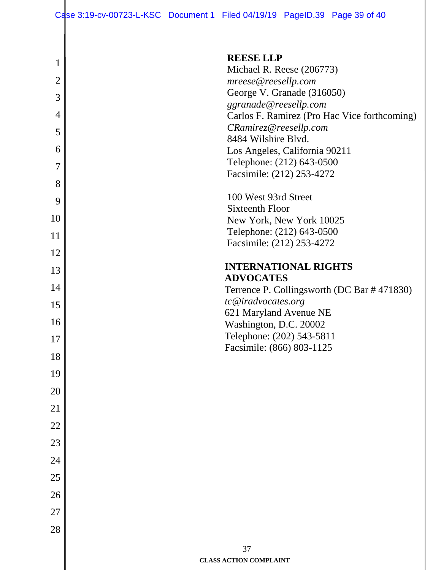| 1              | <b>REESE LLP</b>                                       |
|----------------|--------------------------------------------------------|
|                | Michael R. Reese (206773)                              |
| $\overline{2}$ | mreese@reesellp.com<br>George V. Granade (316050)      |
| 3              | ggranade@reesellp.com                                  |
| 4              | Carlos F. Ramirez (Pro Hac Vice forthcoming)           |
| 5              | CRamirez@reesellp.com                                  |
|                | 8484 Wilshire Blyd.                                    |
| 6              | Los Angeles, California 90211                          |
| $\overline{7}$ | Telephone: (212) 643-0500<br>Facsimile: (212) 253-4272 |
| 8              |                                                        |
| 9              | 100 West 93rd Street                                   |
|                | <b>Sixteenth Floor</b>                                 |
| 10             | New York, New York 10025                               |
| 11             | Telephone: (212) 643-0500<br>Facsimile: (212) 253-4272 |
| 12             |                                                        |
| 13             | <b>INTERNATIONAL RIGHTS</b>                            |
|                | <b>ADVOCATES</b>                                       |
| 14             | Terrence P. Collingsworth (DC Bar #471830)             |
| 15             | tc@iradvocates.org<br>621 Maryland Avenue NE           |
| 16             | Washington, D.C. 20002                                 |
| 17             | Telephone: (202) 543-5811                              |
|                | Facsimile: (866) 803-1125                              |
| 18             |                                                        |
| 19             |                                                        |
| 20             |                                                        |
| 21             |                                                        |
| 22             |                                                        |
| 23             |                                                        |
| 24             |                                                        |
| 25             |                                                        |
| 26             |                                                        |
| 27             |                                                        |
|                |                                                        |
| 28             |                                                        |
|                | 37                                                     |

**CLASS ACTION COMPLAINT**

I